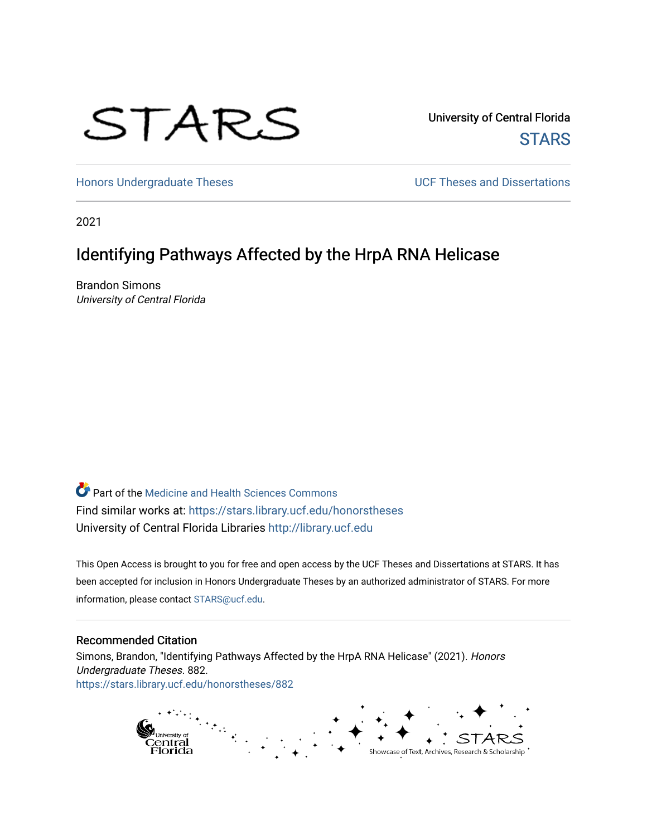# STARS

University of Central Florida **STARS** 

[Honors Undergraduate Theses](https://stars.library.ucf.edu/honorstheses) **Exercise 2 and Serverse** UCF Theses and Dissertations

2021

# Identifying Pathways Affected by the HrpA RNA Helicase

Brandon Simons University of Central Florida

**Part of the Medicine and Health Sciences Commons** Find similar works at: <https://stars.library.ucf.edu/honorstheses> University of Central Florida Libraries [http://library.ucf.edu](http://library.ucf.edu/) 

This Open Access is brought to you for free and open access by the UCF Theses and Dissertations at STARS. It has been accepted for inclusion in Honors Undergraduate Theses by an authorized administrator of STARS. For more information, please contact [STARS@ucf.edu.](mailto:STARS@ucf.edu)

#### Recommended Citation

Simons, Brandon, "Identifying Pathways Affected by the HrpA RNA Helicase" (2021). Honors Undergraduate Theses. 882. [https://stars.library.ucf.edu/honorstheses/882](https://stars.library.ucf.edu/honorstheses/882?utm_source=stars.library.ucf.edu%2Fhonorstheses%2F882&utm_medium=PDF&utm_campaign=PDFCoverPages) 

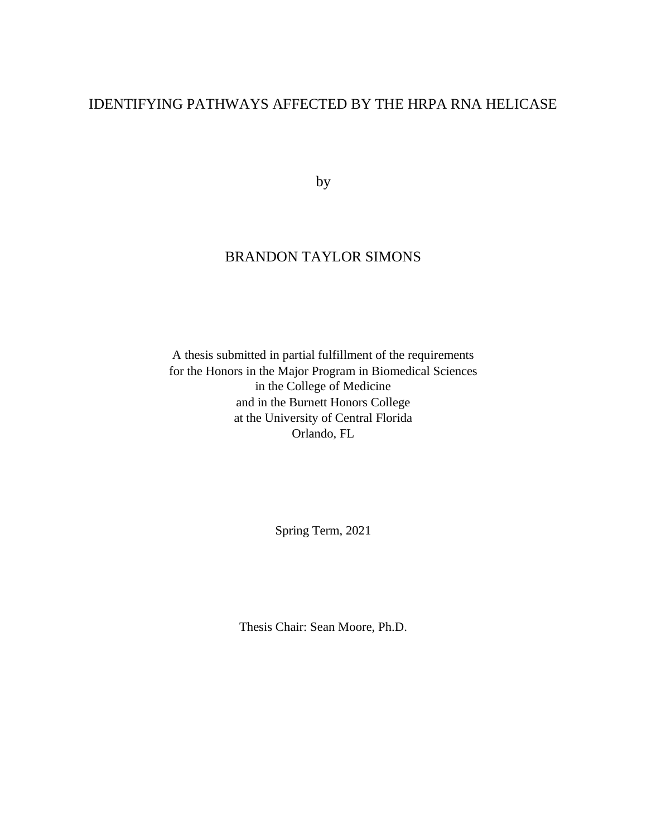# IDENTIFYING PATHWAYS AFFECTED BY THE HRPA RNA HELICASE

by

# BRANDON TAYLOR SIMONS

A thesis submitted in partial fulfillment of the requirements for the Honors in the Major Program in Biomedical Sciences in the College of Medicine and in the Burnett Honors College at the University of Central Florida Orlando, FL

Spring Term, 2021

Thesis Chair: Sean Moore, Ph.D.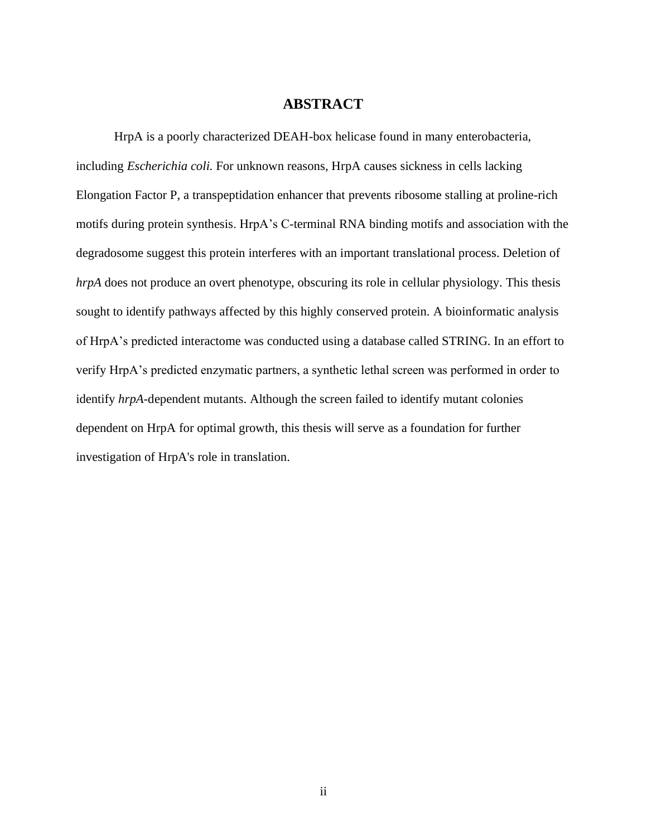#### **ABSTRACT**

HrpA is a poorly characterized DEAH-box helicase found in many enterobacteria, including *Escherichia coli.* For unknown reasons, HrpA causes sickness in cells lacking Elongation Factor P, a transpeptidation enhancer that prevents ribosome stalling at proline-rich motifs during protein synthesis. HrpA's C-terminal RNA binding motifs and association with the degradosome suggest this protein interferes with an important translational process. Deletion of *hrpA* does not produce an overt phenotype, obscuring its role in cellular physiology. This thesis sought to identify pathways affected by this highly conserved protein. A bioinformatic analysis of HrpA's predicted interactome was conducted using a database called STRING. In an effort to verify HrpA's predicted enzymatic partners, a synthetic lethal screen was performed in order to identify *hrpA*-dependent mutants. Although the screen failed to identify mutant colonies dependent on HrpA for optimal growth, this thesis will serve as a foundation for further investigation of HrpA's role in translation.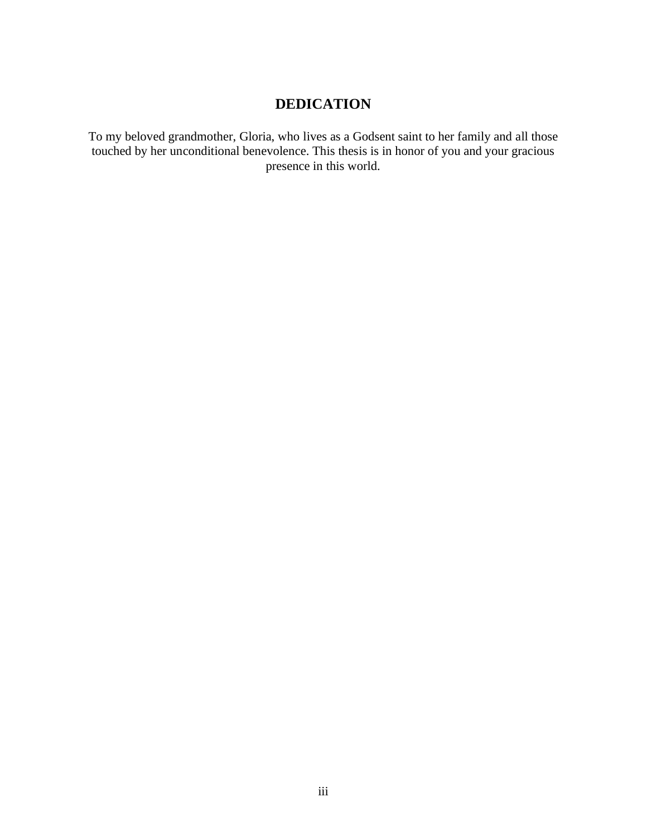# **DEDICATION**

To my beloved grandmother, Gloria, who lives as a Godsent saint to her family and all those touched by her unconditional benevolence. This thesis is in honor of you and your gracious presence in this world.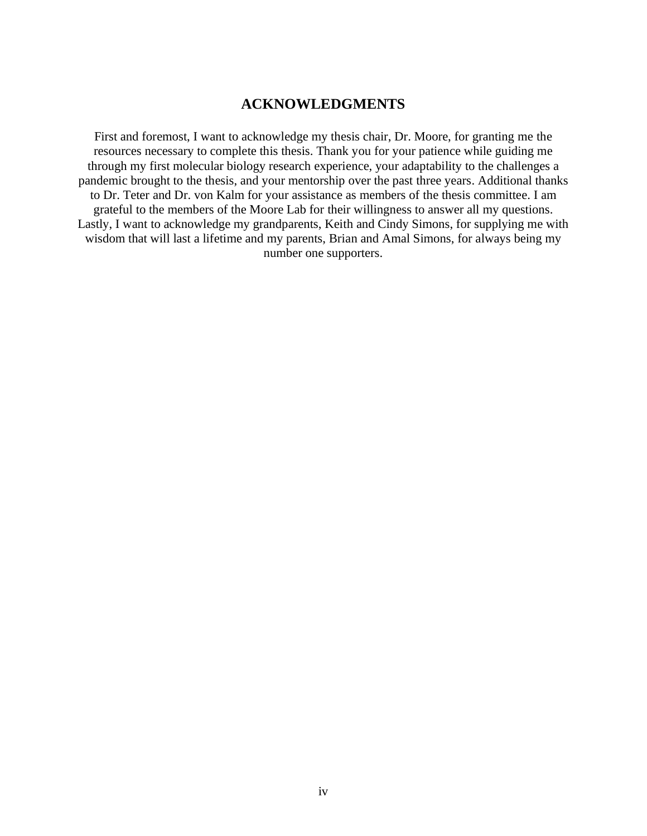## **ACKNOWLEDGMENTS**

First and foremost, I want to acknowledge my thesis chair, Dr. Moore, for granting me the resources necessary to complete this thesis. Thank you for your patience while guiding me through my first molecular biology research experience, your adaptability to the challenges a pandemic brought to the thesis, and your mentorship over the past three years. Additional thanks to Dr. Teter and Dr. von Kalm for your assistance as members of the thesis committee. I am grateful to the members of the Moore Lab for their willingness to answer all my questions. Lastly, I want to acknowledge my grandparents, Keith and Cindy Simons, for supplying me with wisdom that will last a lifetime and my parents, Brian and Amal Simons, for always being my number one supporters.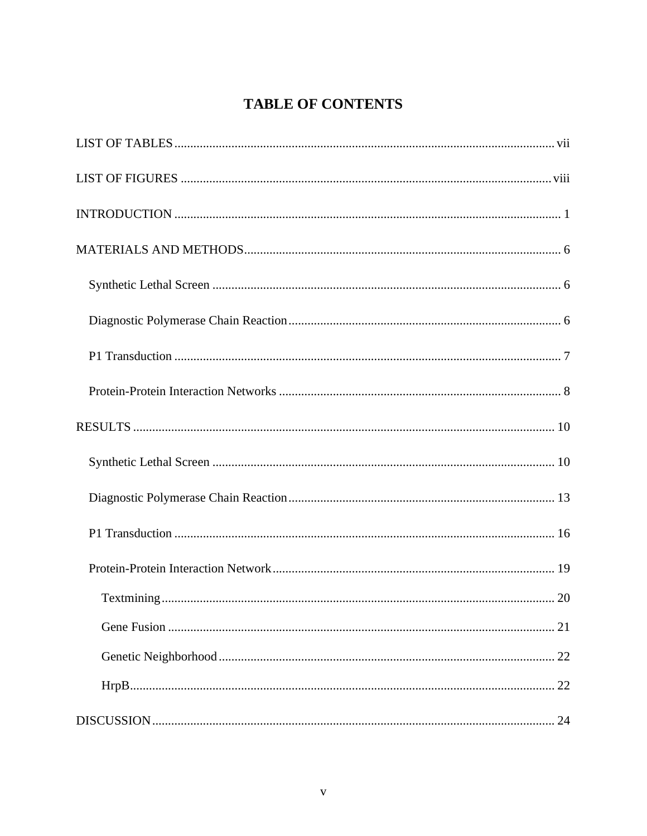# **TABLE OF CONTENTS**

| 21 |
|----|
|    |
| 22 |
| 24 |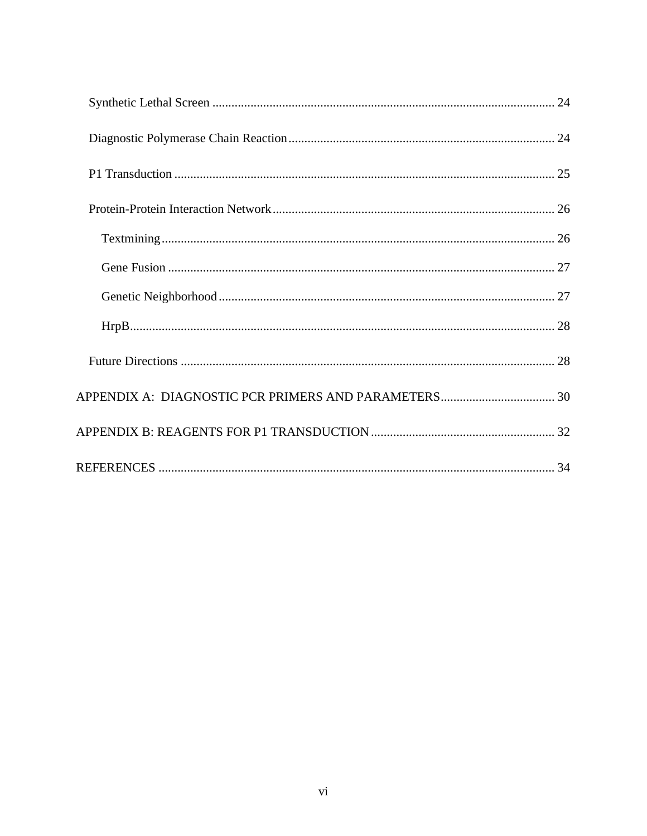<span id="page-6-0"></span>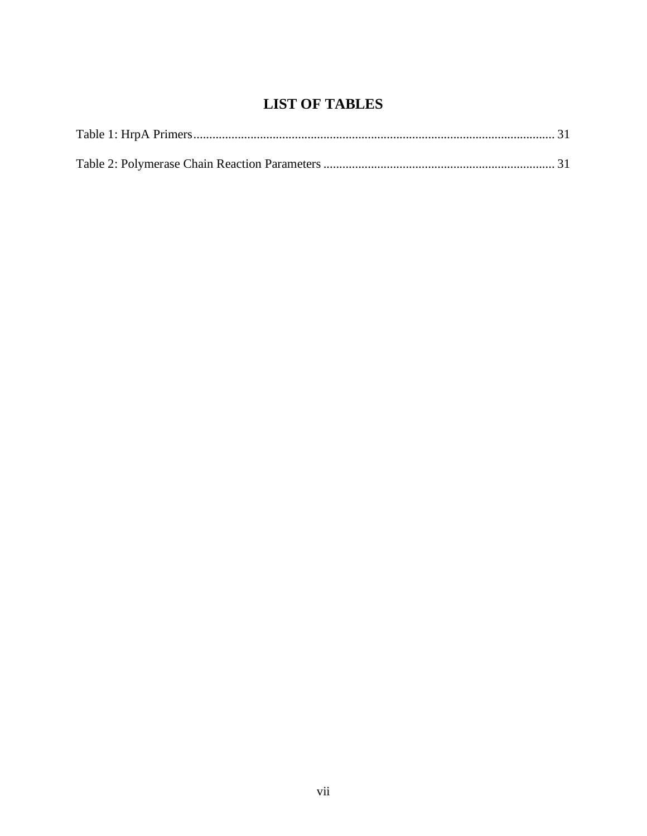# **LIST OF TABLES**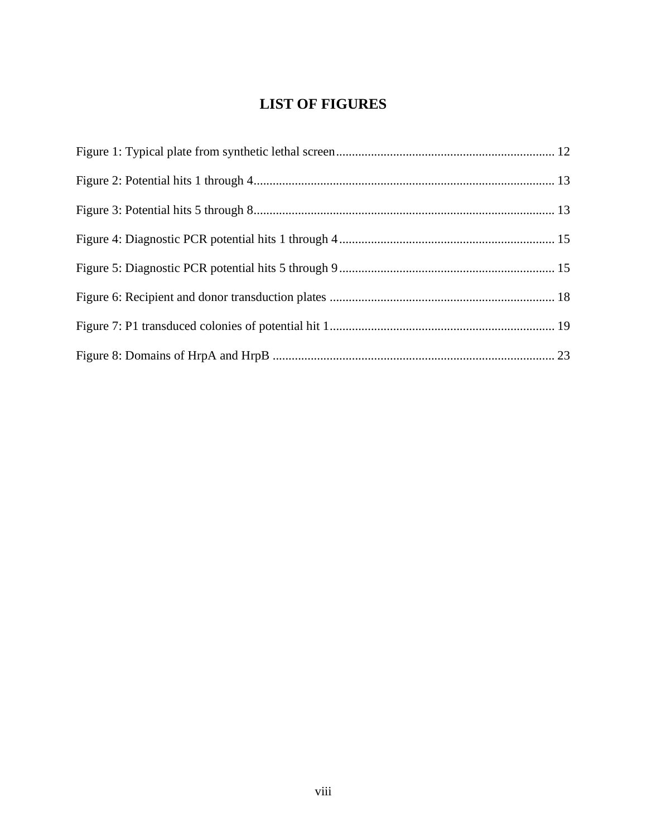# **LIST OF FIGURES**

<span id="page-8-0"></span>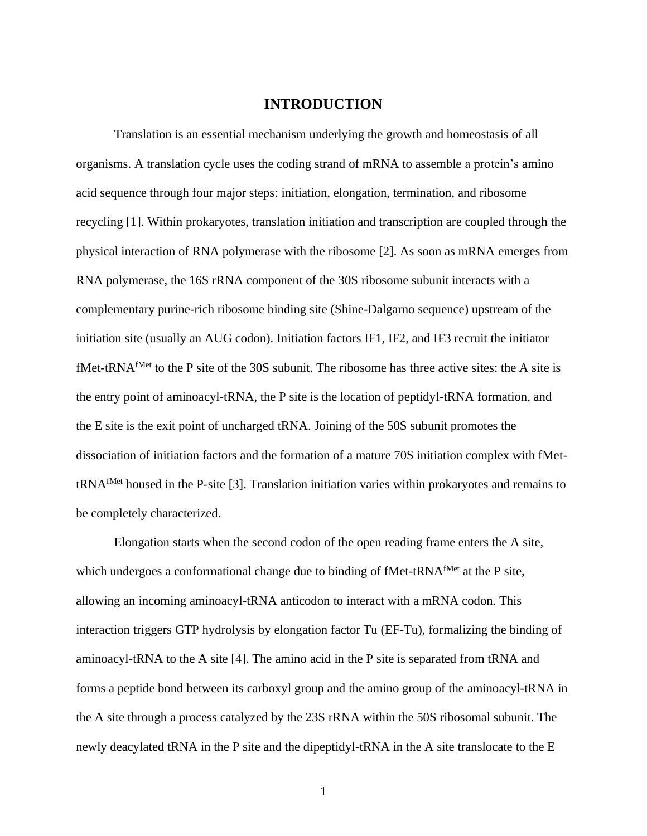#### **INTRODUCTION**

<span id="page-9-0"></span>Translation is an essential mechanism underlying the growth and homeostasis of all organisms. A translation cycle uses the coding strand of mRNA to assemble a protein's amino acid sequence through four major steps: initiation, elongation, termination, and ribosome recycling [1]. Within prokaryotes, translation initiation and transcription are coupled through the physical interaction of RNA polymerase with the ribosome [2]. As soon as mRNA emerges from RNA polymerase, the 16S rRNA component of the 30S ribosome subunit interacts with a complementary purine-rich ribosome binding site (Shine-Dalgarno sequence) upstream of the initiation site (usually an AUG codon). Initiation factors IF1, IF2, and IF3 recruit the initiator fMet-tRNAfMet to the P site of the 30S subunit. The ribosome has three active sites: the A site is the entry point of aminoacyl-tRNA, the P site is the location of peptidyl-tRNA formation, and the E site is the exit point of uncharged tRNA. Joining of the 50S subunit promotes the dissociation of initiation factors and the formation of a mature 70S initiation complex with fMettRNAfMet housed in the P-site [3]. Translation initiation varies within prokaryotes and remains to be completely characterized.

Elongation starts when the second codon of the open reading frame enters the A site, which undergoes a conformational change due to binding of fMet-tRNA<sup>fMet</sup> at the P site, allowing an incoming aminoacyl-tRNA anticodon to interact with a mRNA codon. This interaction triggers GTP hydrolysis by elongation factor Tu (EF-Tu), formalizing the binding of aminoacyl-tRNA to the A site [4]. The amino acid in the P site is separated from tRNA and forms a peptide bond between its carboxyl group and the amino group of the aminoacyl-tRNA in the A site through a process catalyzed by the 23S rRNA within the 50S ribosomal subunit. The newly deacylated tRNA in the P site and the dipeptidyl-tRNA in the A site translocate to the E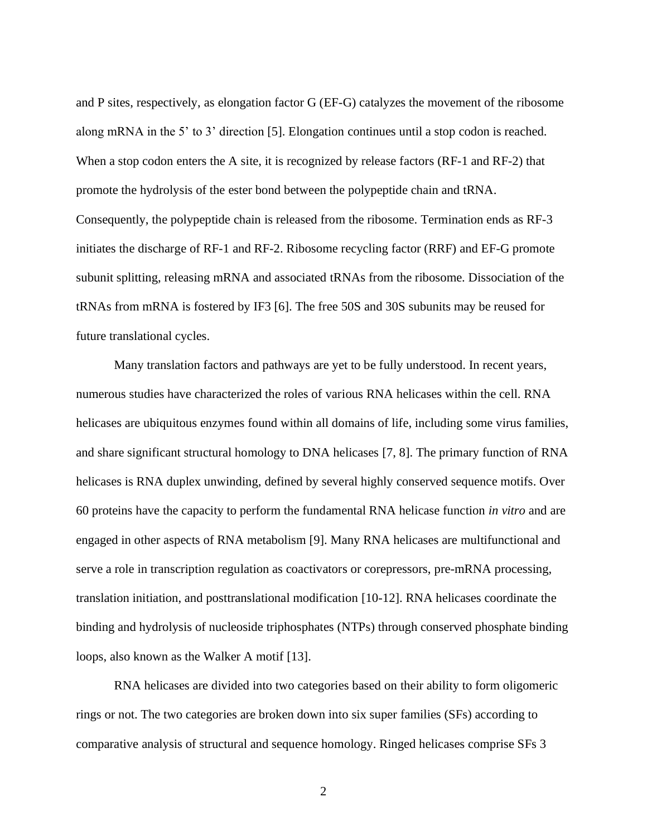and P sites, respectively, as elongation factor G (EF-G) catalyzes the movement of the ribosome along mRNA in the 5' to 3' direction [5]. Elongation continues until a stop codon is reached. When a stop codon enters the A site, it is recognized by release factors (RF-1 and RF-2) that promote the hydrolysis of the ester bond between the polypeptide chain and tRNA. Consequently, the polypeptide chain is released from the ribosome. Termination ends as RF-3 initiates the discharge of RF-1 and RF-2. Ribosome recycling factor (RRF) and EF-G promote subunit splitting, releasing mRNA and associated tRNAs from the ribosome. Dissociation of the tRNAs from mRNA is fostered by IF3 [6]. The free 50S and 30S subunits may be reused for future translational cycles.

Many translation factors and pathways are yet to be fully understood. In recent years, numerous studies have characterized the roles of various RNA helicases within the cell. RNA helicases are ubiquitous enzymes found within all domains of life, including some virus families, and share significant structural homology to DNA helicases [7, 8]. The primary function of RNA helicases is RNA duplex unwinding, defined by several highly conserved sequence motifs. Over 60 proteins have the capacity to perform the fundamental RNA helicase function *in vitro* and are engaged in other aspects of RNA metabolism [9]. Many RNA helicases are multifunctional and serve a role in transcription regulation as coactivators or corepressors, pre-mRNA processing, translation initiation, and posttranslational modification [10-12]. RNA helicases coordinate the binding and hydrolysis of nucleoside triphosphates (NTPs) through conserved phosphate binding loops, also known as the Walker A motif [13].

RNA helicases are divided into two categories based on their ability to form oligomeric rings or not. The two categories are broken down into six super families (SFs) according to comparative analysis of structural and sequence homology. Ringed helicases comprise SFs 3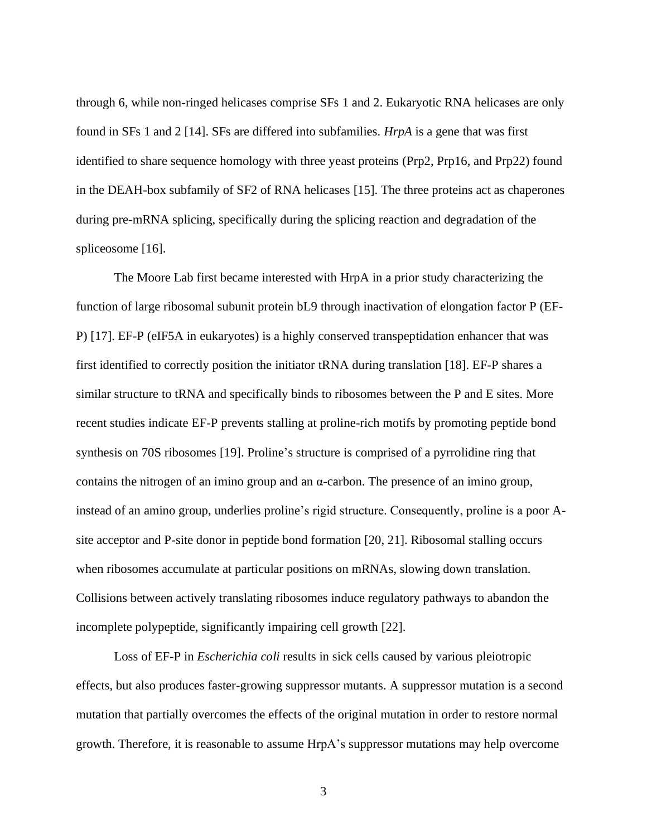through 6, while non-ringed helicases comprise SFs 1 and 2. Eukaryotic RNA helicases are only found in SFs 1 and 2 [14]. SFs are differed into subfamilies. *HrpA* is a gene that was first identified to share sequence homology with three yeast proteins (Prp2, Prp16, and Prp22) found in the DEAH-box subfamily of SF2 of RNA helicases [15]. The three proteins act as chaperones during pre-mRNA splicing, specifically during the splicing reaction and degradation of the spliceosome [16].

The Moore Lab first became interested with HrpA in a prior study characterizing the function of large ribosomal subunit protein bL9 through inactivation of elongation factor P (EF-P) [17]. EF-P (eIF5A in eukaryotes) is a highly conserved transpeptidation enhancer that was first identified to correctly position the initiator tRNA during translation [18]. EF-P shares a similar structure to tRNA and specifically binds to ribosomes between the P and E sites. More recent studies indicate EF-P prevents stalling at proline-rich motifs by promoting peptide bond synthesis on 70S ribosomes [19]. Proline's structure is comprised of a pyrrolidine ring that contains the nitrogen of an imino group and an α-carbon. The presence of an imino group, instead of an amino group, underlies proline's rigid structure. Consequently, proline is a poor Asite acceptor and P-site donor in peptide bond formation [20, 21]. Ribosomal stalling occurs when ribosomes accumulate at particular positions on mRNAs, slowing down translation. Collisions between actively translating ribosomes induce regulatory pathways to abandon the incomplete polypeptide, significantly impairing cell growth [22].

Loss of EF-P in *Escherichia coli* results in sick cells caused by various pleiotropic effects, but also produces faster-growing suppressor mutants. A suppressor mutation is a second mutation that partially overcomes the effects of the original mutation in order to restore normal growth. Therefore, it is reasonable to assume HrpA's suppressor mutations may help overcome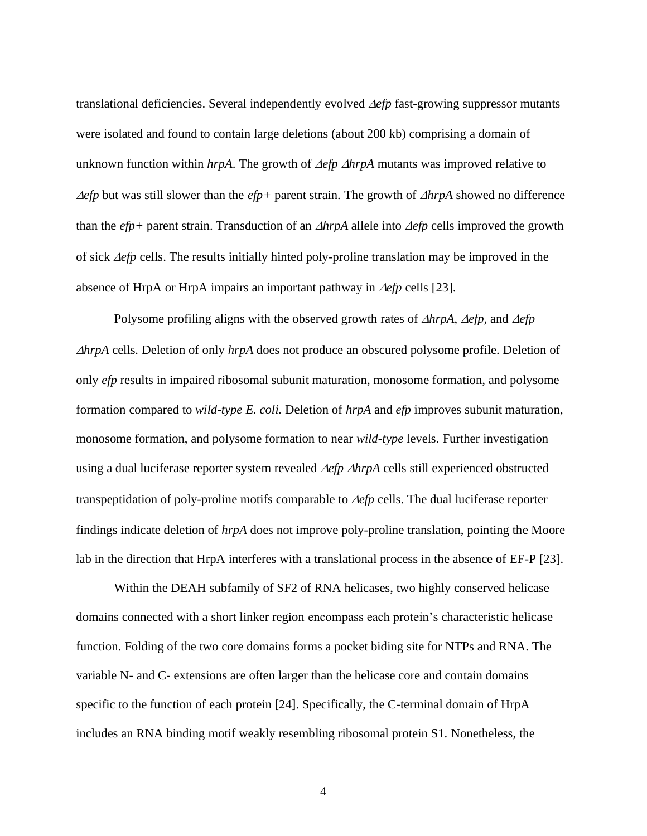translational deficiencies. Several independently evolved  $\Delta e f p$  fast-growing suppressor mutants were isolated and found to contain large deletions (about 200 kb) comprising a domain of unknown function within  $hrpA$ . The growth of  $\Delta efp \Delta hrpA$  mutants was improved relative to *<u>Aefp*</u> but was still slower than the *efp*+ parent strain. The growth of *AhrpA* showed no difference than the  $efp$ + parent strain. Transduction of an  $\triangle hrpA$  allele into  $\triangle efp$  cells improved the growth of sick  $\Delta$ efp cells. The results initially hinted poly-proline translation may be improved in the absence of HrpA or HrpA impairs an important pathway in  $\Delta e f p$  cells [23].

Polysome profiling aligns with the observed growth rates of  $\triangle$ *hrpA*,  $\triangle$ *efp*, and  $\triangle$ *efp hrpA* cells*.* Deletion of only *hrpA* does not produce an obscured polysome profile. Deletion of only *efp* results in impaired ribosomal subunit maturation, monosome formation, and polysome formation compared to *wild-type E. coli.* Deletion of *hrpA* and *efp* improves subunit maturation, monosome formation, and polysome formation to near *wild-type* levels. Further investigation using a dual luciferase reporter system revealed  $\Delta$ *efp*  $\Delta$ *hrpA* cells still experienced obstructed transpeptidation of poly-proline motifs comparable to  $\Delta e f p$  cells. The dual luciferase reporter findings indicate deletion of *hrpA* does not improve poly-proline translation, pointing the Moore lab in the direction that HrpA interferes with a translational process in the absence of EF-P [23].

Within the DEAH subfamily of SF2 of RNA helicases, two highly conserved helicase domains connected with a short linker region encompass each protein's characteristic helicase function. Folding of the two core domains forms a pocket biding site for NTPs and RNA. The variable N- and C- extensions are often larger than the helicase core and contain domains specific to the function of each protein [24]. Specifically, the C-terminal domain of HrpA includes an RNA binding motif weakly resembling ribosomal protein S1. Nonetheless, the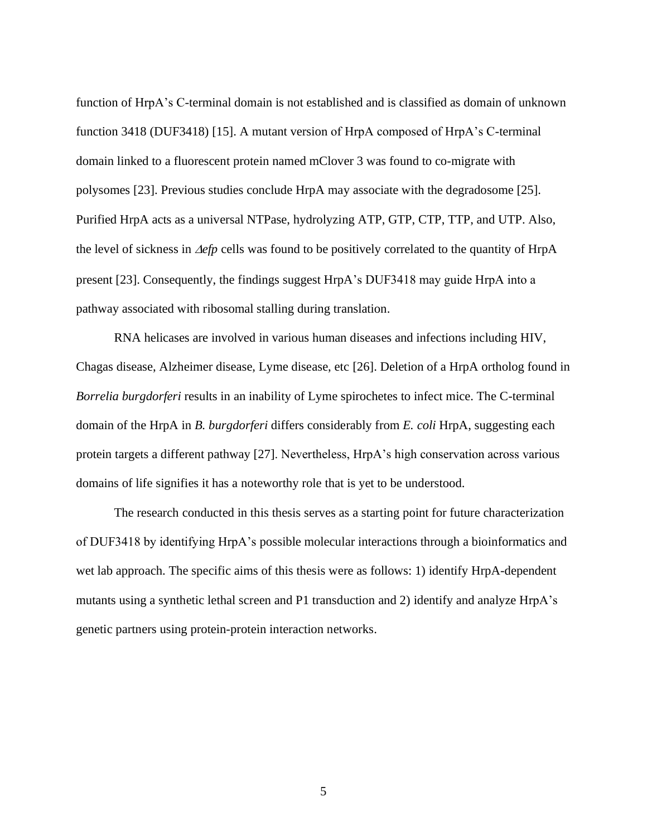function of HrpA's C-terminal domain is not established and is classified as domain of unknown function 3418 (DUF3418) [15]. A mutant version of HrpA composed of HrpA's C-terminal domain linked to a fluorescent protein named mClover 3 was found to co-migrate with polysomes [23]. Previous studies conclude HrpA may associate with the degradosome [25]. Purified HrpA acts as a universal NTPase, hydrolyzing ATP, GTP, CTP, TTP, and UTP. Also, the level of sickness in  $\Delta$ efp cells was found to be positively correlated to the quantity of HrpA present [23]. Consequently, the findings suggest HrpA's DUF3418 may guide HrpA into a pathway associated with ribosomal stalling during translation.

RNA helicases are involved in various human diseases and infections including HIV, Chagas disease, Alzheimer disease, Lyme disease, etc [26]. Deletion of a HrpA ortholog found in *Borrelia burgdorferi* results in an inability of Lyme spirochetes to infect mice. The C-terminal domain of the HrpA in *B. burgdorferi* differs considerably from *E. coli* HrpA, suggesting each protein targets a different pathway [27]. Nevertheless, HrpA's high conservation across various domains of life signifies it has a noteworthy role that is yet to be understood.

The research conducted in this thesis serves as a starting point for future characterization of DUF3418 by identifying HrpA's possible molecular interactions through a bioinformatics and wet lab approach. The specific aims of this thesis were as follows: 1) identify HrpA-dependent mutants using a synthetic lethal screen and P1 transduction and 2) identify and analyze HrpA's genetic partners using protein-protein interaction networks.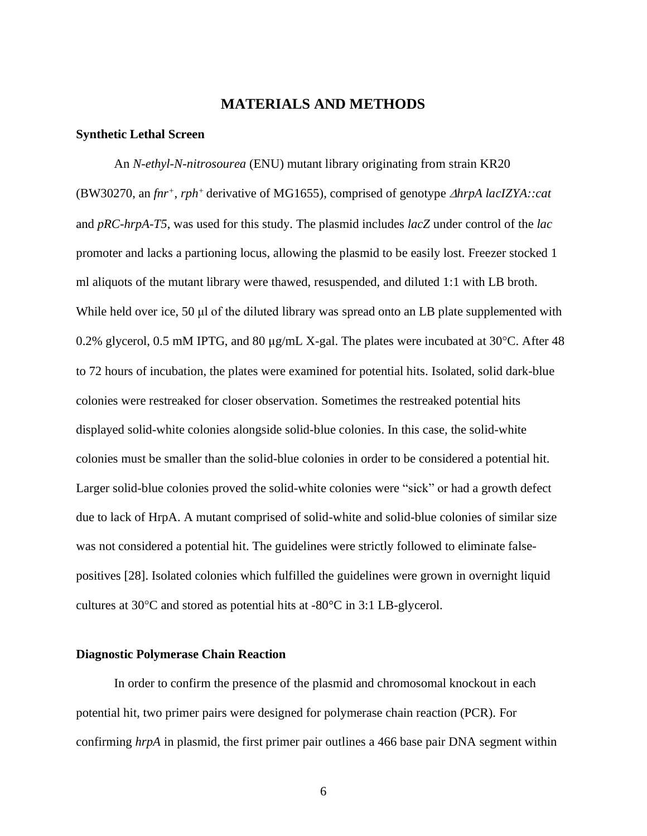### **MATERIALS AND METHODS**

#### <span id="page-14-1"></span><span id="page-14-0"></span>**Synthetic Lethal Screen**

An *N-ethyl-N-nitrosourea* (ENU) mutant library originating from strain KR20 (BW30270, an *fnr<sup>+</sup>*, *rph<sup>+</sup>*derivative of MG1655), comprised of genotype *hrpA lacIZYA::cat* and *pRC-hrpA-T5*, was used for this study. The plasmid includes *lacZ* under control of the *lac* promoter and lacks a partioning locus, allowing the plasmid to be easily lost. Freezer stocked 1 ml aliquots of the mutant library were thawed, resuspended, and diluted 1:1 with LB broth. While held over ice, 50 μl of the diluted library was spread onto an LB plate supplemented with 0.2% glycerol, 0.5 mM IPTG, and 80  $\mu$ g/mL X-gal. The plates were incubated at 30°C. After 48 to 72 hours of incubation, the plates were examined for potential hits. Isolated, solid dark-blue colonies were restreaked for closer observation. Sometimes the restreaked potential hits displayed solid-white colonies alongside solid-blue colonies. In this case, the solid-white colonies must be smaller than the solid-blue colonies in order to be considered a potential hit. Larger solid-blue colonies proved the solid-white colonies were "sick" or had a growth defect due to lack of HrpA. A mutant comprised of solid-white and solid-blue colonies of similar size was not considered a potential hit. The guidelines were strictly followed to eliminate falsepositives [28]. Isolated colonies which fulfilled the guidelines were grown in overnight liquid cultures at  $30^{\circ}$ C and stored as potential hits at  $-80^{\circ}$ C in 3:1 LB-glycerol.

#### <span id="page-14-2"></span>**Diagnostic Polymerase Chain Reaction**

In order to confirm the presence of the plasmid and chromosomal knockout in each potential hit, two primer pairs were designed for polymerase chain reaction (PCR). For confirming *hrpA* in plasmid, the first primer pair outlines a 466 base pair DNA segment within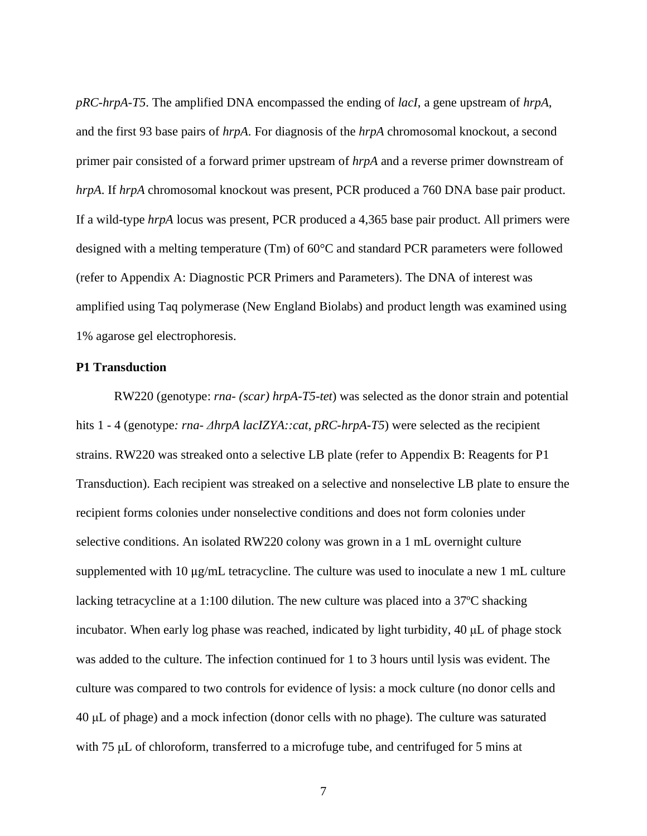*pRC-hrpA-T5*. The amplified DNA encompassed the ending of *lacI*, a gene upstream of *hrpA*, and the first 93 base pairs of *hrpA*. For diagnosis of the *hrpA* chromosomal knockout, a second primer pair consisted of a forward primer upstream of *hrpA* and a reverse primer downstream of *hrpA*. If *hrpA* chromosomal knockout was present, PCR produced a 760 DNA base pair product. If a wild-type *hrpA* locus was present, PCR produced a 4,365 base pair product. All primers were designed with a melting temperature (Tm) of 60°C and standard PCR parameters were followed (refer to Appendix A: Diagnostic PCR Primers and Parameters). The DNA of interest was amplified using Taq polymerase (New England Biolabs) and product length was examined using 1% agarose gel electrophoresis.

#### <span id="page-15-0"></span>**P1 Transduction**

RW220 (genotype: *rna- (scar) hrpA-T5-tet*) was selected as the donor strain and potential hits 1 - 4 (genotype*: rna- ΔhrpA lacIZYA::cat*, *pRC-hrpA-T5*) were selected as the recipient strains. RW220 was streaked onto a selective LB plate (refer to Appendix B: Reagents for P1 Transduction). Each recipient was streaked on a selective and nonselective LB plate to ensure the recipient forms colonies under nonselective conditions and does not form colonies under selective conditions. An isolated RW220 colony was grown in a 1 mL overnight culture supplemented with 10 μg/mL tetracycline. The culture was used to inoculate a new 1 mL culture lacking tetracycline at a 1:100 dilution. The new culture was placed into a 37ºC shacking incubator. When early log phase was reached, indicated by light turbidity, 40 μL of phage stock was added to the culture. The infection continued for 1 to 3 hours until lysis was evident. The culture was compared to two controls for evidence of lysis: a mock culture (no donor cells and 40 μL of phage) and a mock infection (donor cells with no phage). The culture was saturated with 75 μL of chloroform, transferred to a microfuge tube, and centrifuged for 5 mins at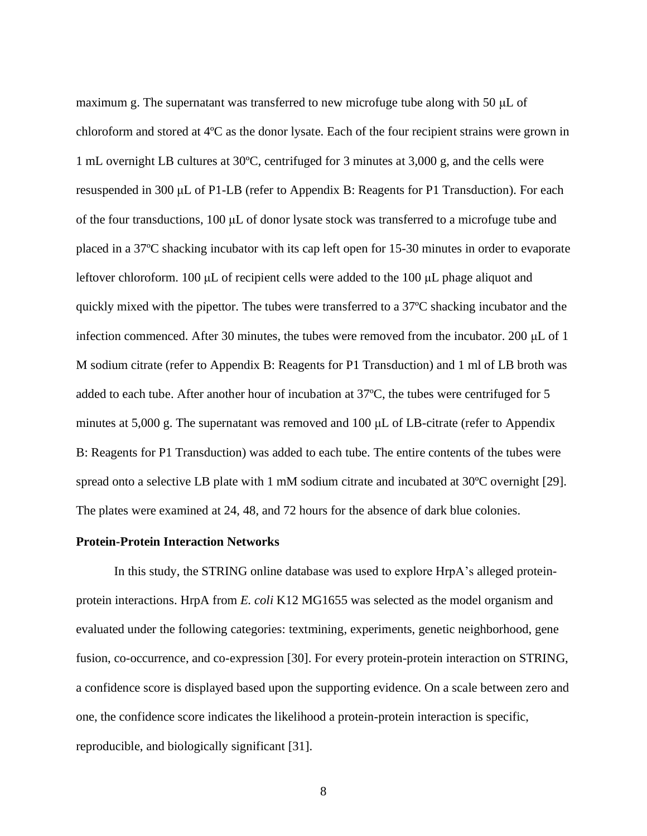maximum g. The supernatant was transferred to new microfuge tube along with 50 μL of chloroform and stored at 4ºC as the donor lysate. Each of the four recipient strains were grown in 1 mL overnight LB cultures at 30ºC, centrifuged for 3 minutes at 3,000 g, and the cells were resuspended in 300 μL of P1-LB (refer to Appendix B: Reagents for P1 Transduction). For each of the four transductions,  $100 \mu L$  of donor lysate stock was transferred to a microfuge tube and placed in a 37ºC shacking incubator with its cap left open for 15-30 minutes in order to evaporate leftover chloroform. 100 μL of recipient cells were added to the 100 μL phage aliquot and quickly mixed with the pipettor. The tubes were transferred to a 37ºC shacking incubator and the infection commenced. After 30 minutes, the tubes were removed from the incubator. 200 μL of 1 M sodium citrate (refer to Appendix B: Reagents for P1 Transduction) and 1 ml of LB broth was added to each tube. After another hour of incubation at 37ºC, the tubes were centrifuged for 5 minutes at 5,000 g. The supernatant was removed and 100 μL of LB-citrate (refer to Appendix B: Reagents for P1 Transduction) was added to each tube. The entire contents of the tubes were spread onto a selective LB plate with 1 mM sodium citrate and incubated at 30ºC overnight [29]. The plates were examined at 24, 48, and 72 hours for the absence of dark blue colonies.

#### <span id="page-16-0"></span>**Protein-Protein Interaction Networks**

In this study, the STRING online database was used to explore HrpA's alleged proteinprotein interactions. HrpA from *E. coli* K12 MG1655 was selected as the model organism and evaluated under the following categories: textmining, experiments, genetic neighborhood, gene fusion, co-occurrence, and co-expression [30]. For every protein-protein interaction on STRING, a confidence score is displayed based upon the supporting evidence. On a scale between zero and one, the confidence score indicates the likelihood a protein-protein interaction is specific, reproducible, and biologically significant [31].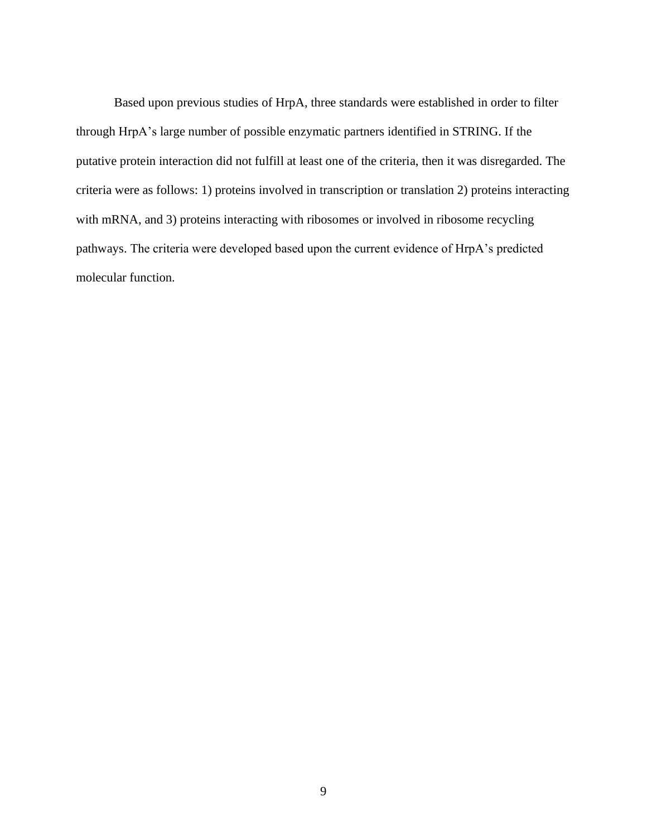<span id="page-17-0"></span>Based upon previous studies of HrpA, three standards were established in order to filter through HrpA's large number of possible enzymatic partners identified in STRING. If the putative protein interaction did not fulfill at least one of the criteria, then it was disregarded. The criteria were as follows: 1) proteins involved in transcription or translation 2) proteins interacting with mRNA, and 3) proteins interacting with ribosomes or involved in ribosome recycling pathways. The criteria were developed based upon the current evidence of HrpA's predicted molecular function.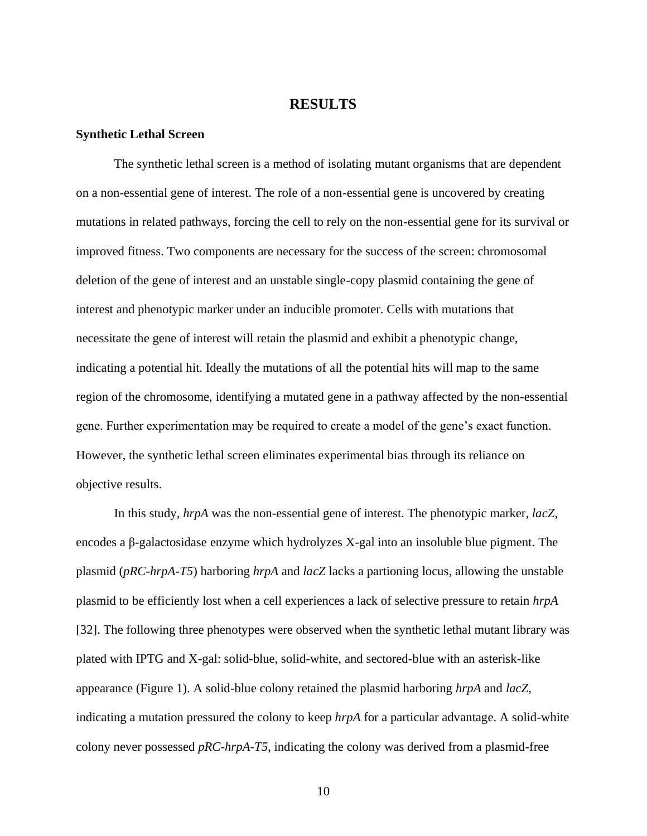#### **RESULTS**

#### <span id="page-18-0"></span>**Synthetic Lethal Screen**

The synthetic lethal screen is a method of isolating mutant organisms that are dependent on a non-essential gene of interest. The role of a non-essential gene is uncovered by creating mutations in related pathways, forcing the cell to rely on the non-essential gene for its survival or improved fitness. Two components are necessary for the success of the screen: chromosomal deletion of the gene of interest and an unstable single-copy plasmid containing the gene of interest and phenotypic marker under an inducible promoter. Cells with mutations that necessitate the gene of interest will retain the plasmid and exhibit a phenotypic change, indicating a potential hit. Ideally the mutations of all the potential hits will map to the same region of the chromosome, identifying a mutated gene in a pathway affected by the non-essential gene. Further experimentation may be required to create a model of the gene's exact function. However, the synthetic lethal screen eliminates experimental bias through its reliance on objective results.

In this study, *hrpA* was the non-essential gene of interest. The phenotypic marker, *lacZ*, encodes a β-galactosidase enzyme which hydrolyzes X-gal into an insoluble blue pigment. The plasmid (*pRC-hrpA-T5*) harboring *hrpA* and *lacZ* lacks a partioning locus, allowing the unstable plasmid to be efficiently lost when a cell experiences a lack of selective pressure to retain *hrpA* [32]. The following three phenotypes were observed when the synthetic lethal mutant library was plated with IPTG and X-gal: solid-blue, solid-white, and sectored-blue with an asterisk-like appearance (Figure 1). A solid-blue colony retained the plasmid harboring *hrpA* and *lacZ*, indicating a mutation pressured the colony to keep *hrpA* for a particular advantage. A solid-white colony never possessed *pRC-hrpA-T5*, indicating the colony was derived from a plasmid-free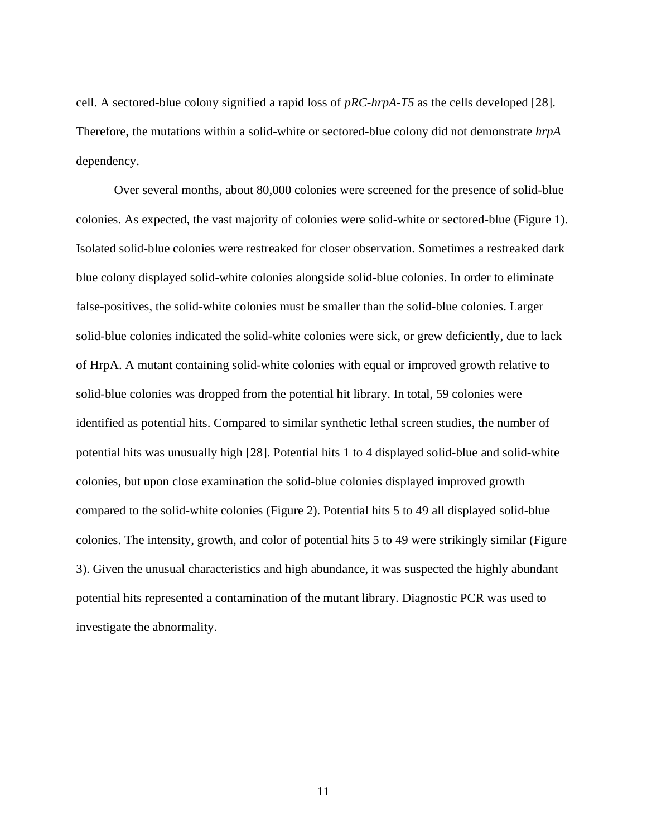cell. A sectored-blue colony signified a rapid loss of *pRC-hrpA-T5* as the cells developed [28]. Therefore, the mutations within a solid-white or sectored-blue colony did not demonstrate *hrpA* dependency.

Over several months, about 80,000 colonies were screened for the presence of solid-blue colonies. As expected, the vast majority of colonies were solid-white or sectored-blue (Figure 1). Isolated solid-blue colonies were restreaked for closer observation. Sometimes a restreaked dark blue colony displayed solid-white colonies alongside solid-blue colonies. In order to eliminate false-positives, the solid-white colonies must be smaller than the solid-blue colonies. Larger solid-blue colonies indicated the solid-white colonies were sick, or grew deficiently, due to lack of HrpA. A mutant containing solid-white colonies with equal or improved growth relative to solid-blue colonies was dropped from the potential hit library. In total, 59 colonies were identified as potential hits. Compared to similar synthetic lethal screen studies, the number of potential hits was unusually high [28]. Potential hits 1 to 4 displayed solid-blue and solid-white colonies, but upon close examination the solid-blue colonies displayed improved growth compared to the solid-white colonies (Figure 2). Potential hits 5 to 49 all displayed solid-blue colonies. The intensity, growth, and color of potential hits 5 to 49 were strikingly similar (Figure 3). Given the unusual characteristics and high abundance, it was suspected the highly abundant potential hits represented a contamination of the mutant library. Diagnostic PCR was used to investigate the abnormality.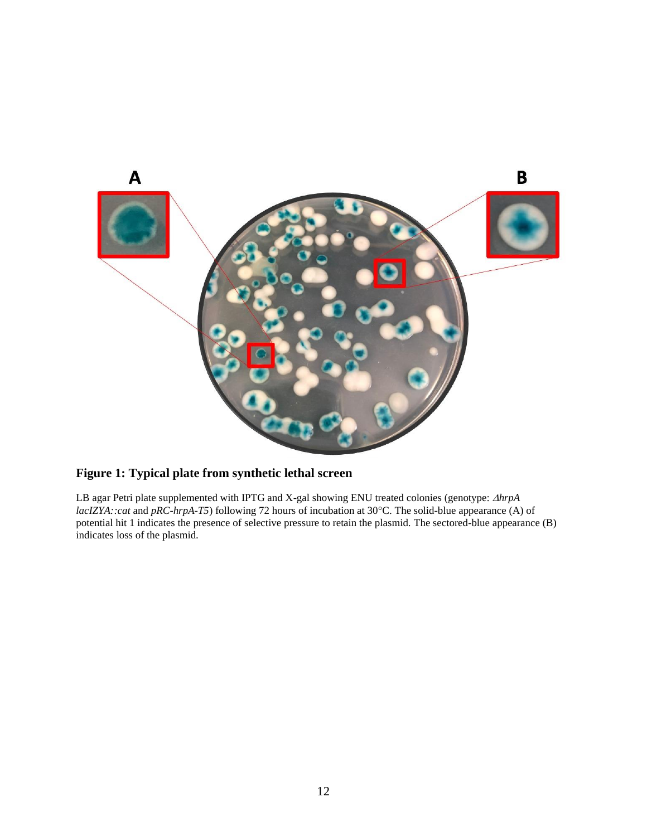

## **Figure 1: Typical plate from synthetic lethal screen**

LB agar Petri plate supplemented with IPTG and X-gal showing ENU treated colonies (genotype:  $\triangle hrpA$ *lacIZYA::cat* and *pRC-hrpA-T5*) following 72 hours of incubation at 30°C. The solid-blue appearance (A) of potential hit 1 indicates the presence of selective pressure to retain the plasmid. The sectored-blue appearance (B) indicates loss of the plasmid.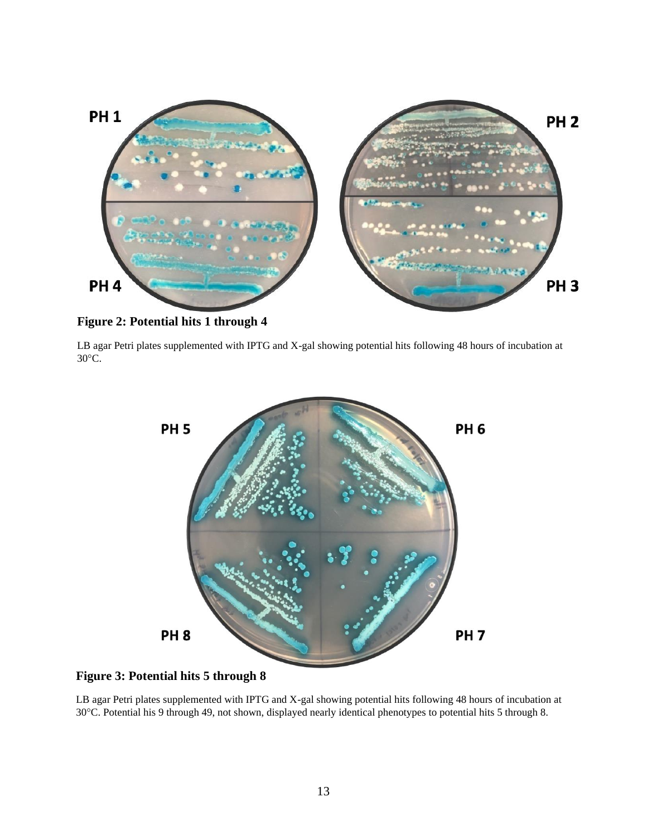

**Figure 2: Potential hits 1 through 4**

<span id="page-21-0"></span>LB agar Petri plates supplemented with IPTG and X-gal showing potential hits following 48 hours of incubation at 30°C.



## **Figure 3: Potential hits 5 through 8**

LB agar Petri plates supplemented with IPTG and X-gal showing potential hits following 48 hours of incubation at 30C. Potential his 9 through 49, not shown, displayed nearly identical phenotypes to potential hits 5 through 8.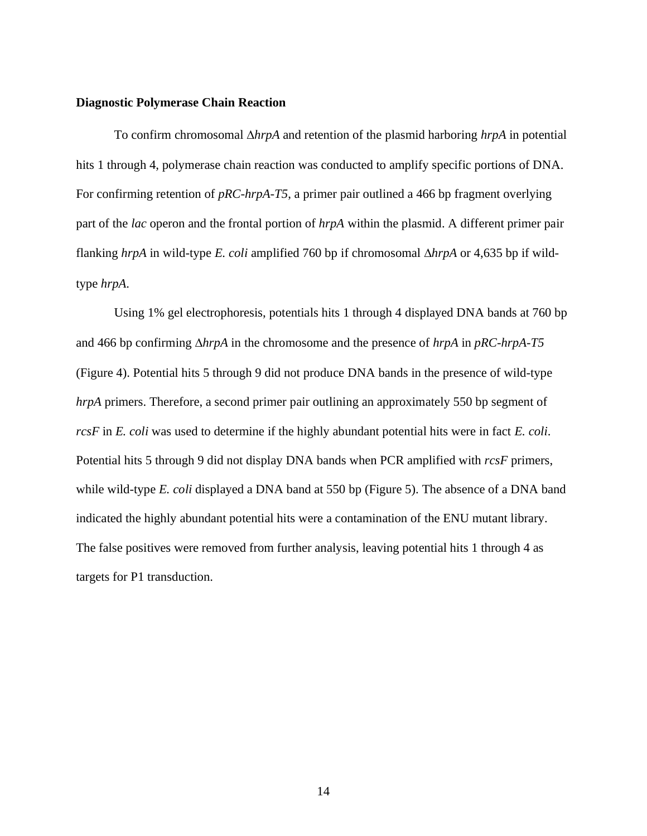#### **Diagnostic Polymerase Chain Reaction**

To confirm chromosomal *hrpA* and retention of the plasmid harboring *hrpA* in potential hits 1 through 4, polymerase chain reaction was conducted to amplify specific portions of DNA. For confirming retention of *pRC-hrpA-T5*, a primer pair outlined a 466 bp fragment overlying part of the *lac* operon and the frontal portion of *hrpA* within the plasmid. A different primer pair flanking *hrpA* in wild-type *E. coli* amplified 760 bp if chromosomal *hrpA* or 4,635 bp if wildtype *hrpA*.

Using 1% gel electrophoresis, potentials hits 1 through 4 displayed DNA bands at 760 bp and 466 bp confirming  $\Delta h r p A$  in the chromosome and the presence of  $h r p A$  in  $p R C-h r p A$ -T5 (Figure 4). Potential hits 5 through 9 did not produce DNA bands in the presence of wild-type *hrpA* primers. Therefore, a second primer pair outlining an approximately 550 bp segment of *rcsF* in *E. coli* was used to determine if the highly abundant potential hits were in fact *E. coli*. Potential hits 5 through 9 did not display DNA bands when PCR amplified with *rcsF* primers, while wild-type *E. coli* displayed a DNA band at 550 bp (Figure 5). The absence of a DNA band indicated the highly abundant potential hits were a contamination of the ENU mutant library. The false positives were removed from further analysis, leaving potential hits 1 through 4 as targets for P1 transduction.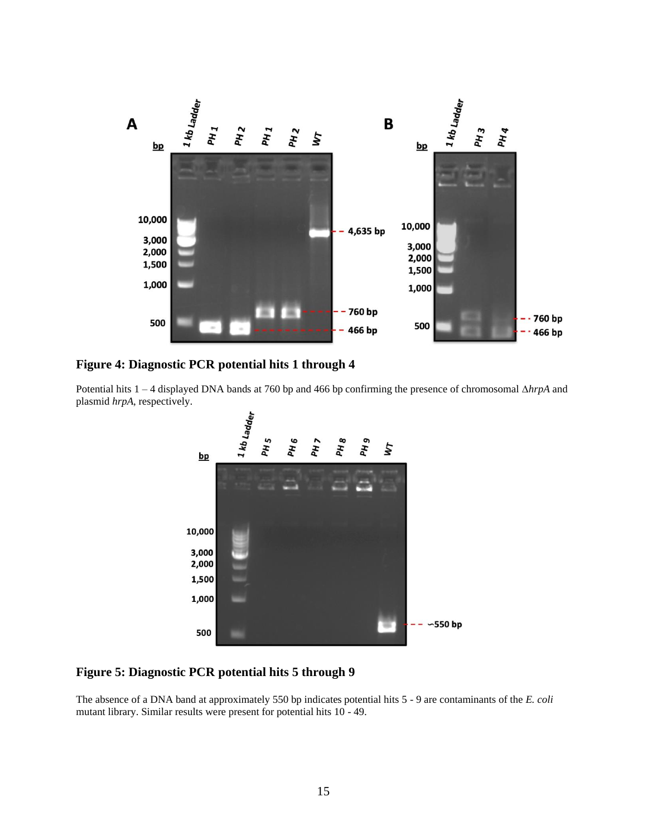

#### <span id="page-23-1"></span>**Figure 4: Diagnostic PCR potential hits 1 through 4**

Potential hits 1 – 4 displayed DNA bands at 760 bp and 466 bp confirming the presence of chromosomal *hrpA* and plasmid *hrpA*, respectively.



#### <span id="page-23-2"></span>**Figure 5: Diagnostic PCR potential hits 5 through 9**

<span id="page-23-0"></span>The absence of a DNA band at approximately 550 bp indicates potential hits 5 - 9 are contaminants of the *E. coli* mutant library. Similar results were present for potential hits 10 - 49.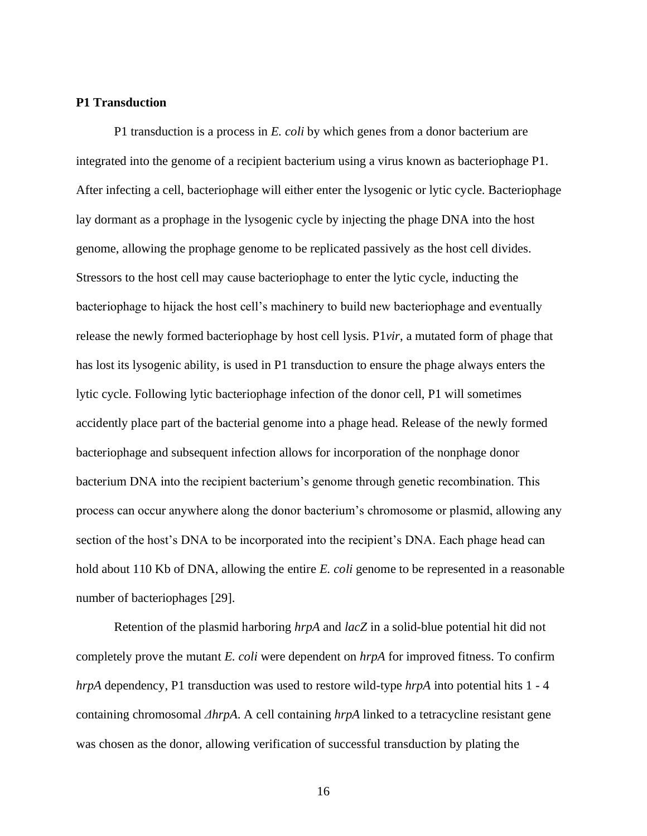#### **P1 Transduction**

P1 transduction is a process in *E. coli* by which genes from a donor bacterium are integrated into the genome of a recipient bacterium using a virus known as bacteriophage P1. After infecting a cell, bacteriophage will either enter the lysogenic or lytic cycle. Bacteriophage lay dormant as a prophage in the lysogenic cycle by injecting the phage DNA into the host genome, allowing the prophage genome to be replicated passively as the host cell divides. Stressors to the host cell may cause bacteriophage to enter the lytic cycle, inducting the bacteriophage to hijack the host cell's machinery to build new bacteriophage and eventually release the newly formed bacteriophage by host cell lysis. P1*vir*, a mutated form of phage that has lost its lysogenic ability, is used in P1 transduction to ensure the phage always enters the lytic cycle. Following lytic bacteriophage infection of the donor cell, P1 will sometimes accidently place part of the bacterial genome into a phage head. Release of the newly formed bacteriophage and subsequent infection allows for incorporation of the nonphage donor bacterium DNA into the recipient bacterium's genome through genetic recombination. This process can occur anywhere along the donor bacterium's chromosome or plasmid, allowing any section of the host's DNA to be incorporated into the recipient's DNA. Each phage head can hold about 110 Kb of DNA, allowing the entire *E. coli* genome to be represented in a reasonable number of bacteriophages [29].

Retention of the plasmid harboring *hrpA* and *lacZ* in a solid-blue potential hit did not completely prove the mutant *E. coli* were dependent on *hrpA* for improved fitness. To confirm *hrpA* dependency, P1 transduction was used to restore wild-type *hrpA* into potential hits 1 - 4 containing chromosomal *ΔhrpA*. A cell containing *hrpA* linked to a tetracycline resistant gene was chosen as the donor, allowing verification of successful transduction by plating the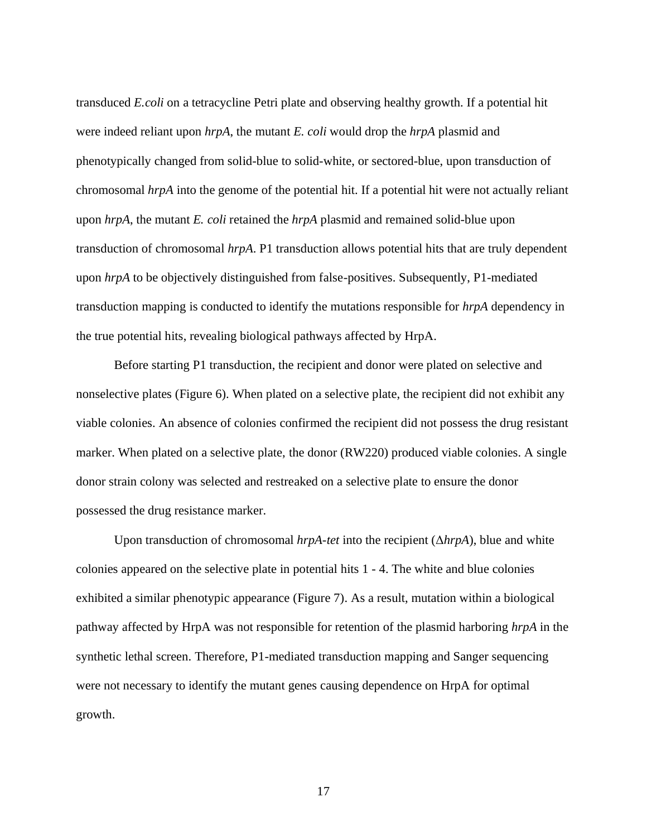transduced *E.coli* on a tetracycline Petri plate and observing healthy growth. If a potential hit were indeed reliant upon *hrpA*, the mutant *E. coli* would drop the *hrpA* plasmid and phenotypically changed from solid-blue to solid-white, or sectored-blue, upon transduction of chromosomal *hrpA* into the genome of the potential hit. If a potential hit were not actually reliant upon *hrpA*, the mutant *E. coli* retained the *hrpA* plasmid and remained solid-blue upon transduction of chromosomal *hrpA*. P1 transduction allows potential hits that are truly dependent upon *hrpA* to be objectively distinguished from false-positives. Subsequently, P1-mediated transduction mapping is conducted to identify the mutations responsible for *hrpA* dependency in the true potential hits, revealing biological pathways affected by HrpA.

Before starting P1 transduction, the recipient and donor were plated on selective and nonselective plates (Figure 6). When plated on a selective plate, the recipient did not exhibit any viable colonies. An absence of colonies confirmed the recipient did not possess the drug resistant marker. When plated on a selective plate, the donor (RW220) produced viable colonies. A single donor strain colony was selected and restreaked on a selective plate to ensure the donor possessed the drug resistance marker.

Upon transduction of chromosomal *hrpA-tet* into the recipient (Δ*hrpA*), blue and white colonies appeared on the selective plate in potential hits 1 - 4. The white and blue colonies exhibited a similar phenotypic appearance (Figure 7). As a result, mutation within a biological pathway affected by HrpA was not responsible for retention of the plasmid harboring *hrpA* in the synthetic lethal screen. Therefore, P1-mediated transduction mapping and Sanger sequencing were not necessary to identify the mutant genes causing dependence on HrpA for optimal growth.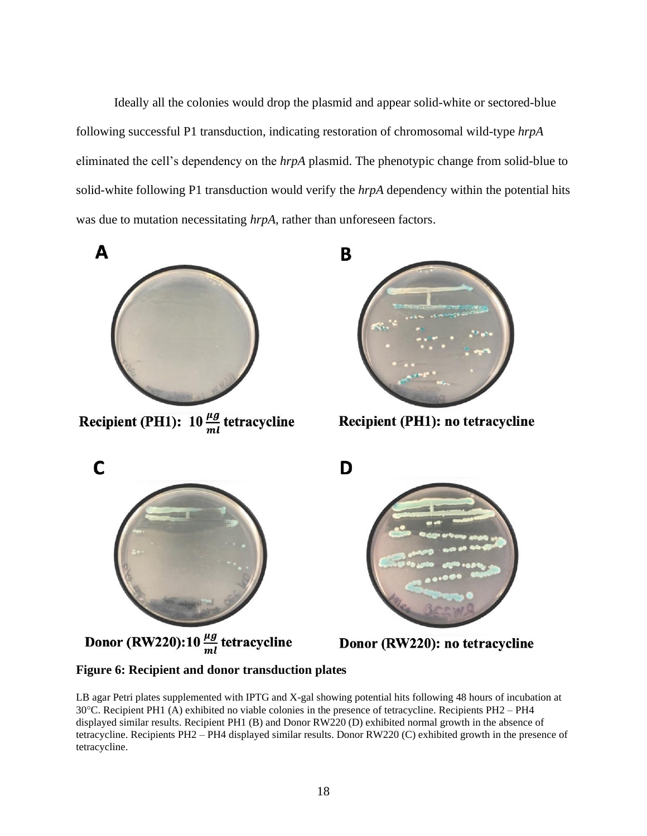Ideally all the colonies would drop the plasmid and appear solid-white or sectored-blue following successful P1 transduction, indicating restoration of chromosomal wild-type *hrpA* eliminated the cell's dependency on the *hrpA* plasmid. The phenotypic change from solid-blue to solid-white following P1 transduction would verify the *hrpA* dependency within the potential hits was due to mutation necessitating *hrpA*, rather than unforeseen factors.



Recipient (PH1):  $10 \frac{\mu g}{ml}$  tetracycline



Recipient (PH1): no tetracycline



Donor (RW220):10  $\frac{\mu g}{ml}$  tetracycline



Donor (RW220): no tetracycline

## <span id="page-26-0"></span>**Figure 6: Recipient and donor transduction plates**

LB agar Petri plates supplemented with IPTG and X-gal showing potential hits following 48 hours of incubation at 30C. Recipient PH1 (A) exhibited no viable colonies in the presence of tetracycline. Recipients PH2 – PH4 displayed similar results. Recipient PH1 (B) and Donor RW220 (D) exhibited normal growth in the absence of tetracycline. Recipients PH2 – PH4 displayed similar results. Donor RW220 (C) exhibited growth in the presence of tetracycline.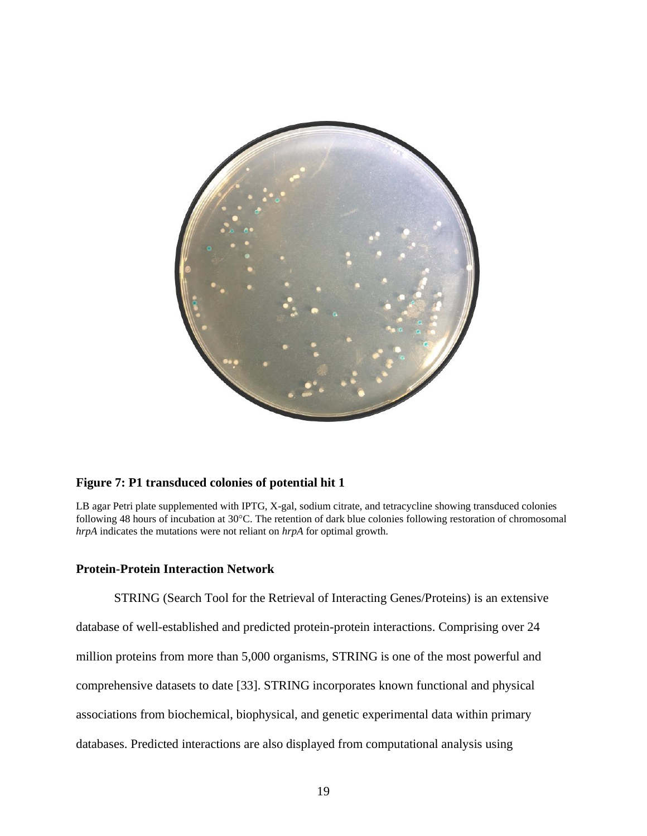

#### <span id="page-27-1"></span>**Figure 7: P1 transduced colonies of potential hit 1**

LB agar Petri plate supplemented with IPTG, X-gal, sodium citrate, and tetracycline showing transduced colonies following 48 hours of incubation at 30°C. The retention of dark blue colonies following restoration of chromosomal *hrpA* indicates the mutations were not reliant on *hrpA* for optimal growth.

#### <span id="page-27-0"></span>**Protein-Protein Interaction Network**

STRING (Search Tool for the Retrieval of Interacting Genes/Proteins) is an extensive database of well-established and predicted protein-protein interactions. Comprising over 24 million proteins from more than 5,000 organisms, STRING is one of the most powerful and comprehensive datasets to date [33]. STRING incorporates known functional and physical associations from biochemical, biophysical, and genetic experimental data within primary databases. Predicted interactions are also displayed from computational analysis using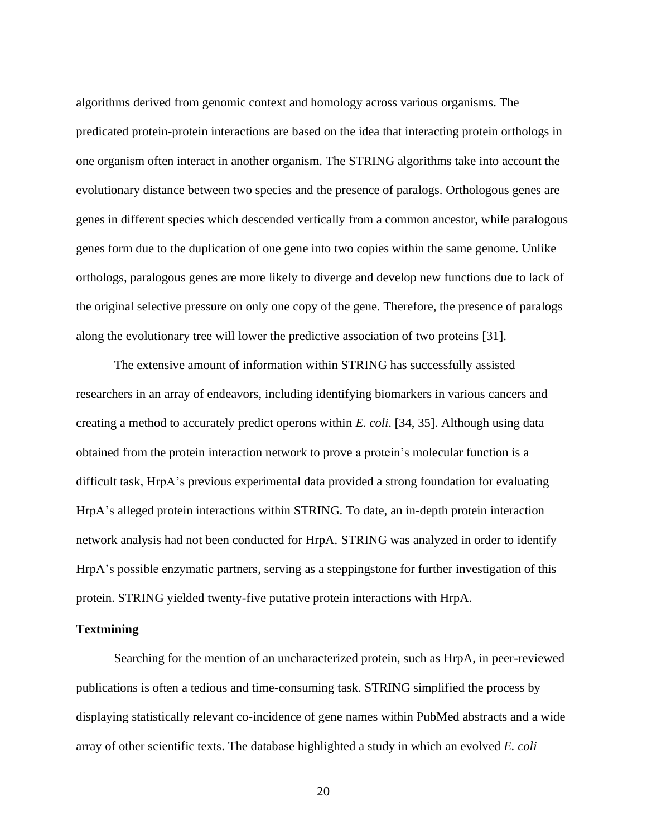algorithms derived from genomic context and homology across various organisms. The predicated protein-protein interactions are based on the idea that interacting protein orthologs in one organism often interact in another organism. The STRING algorithms take into account the evolutionary distance between two species and the presence of paralogs. Orthologous genes are genes in different species which descended vertically from a common ancestor, while paralogous genes form due to the duplication of one gene into two copies within the same genome. Unlike orthologs, paralogous genes are more likely to diverge and develop new functions due to lack of the original selective pressure on only one copy of the gene. Therefore, the presence of paralogs along the evolutionary tree will lower the predictive association of two proteins [31].

The extensive amount of information within STRING has successfully assisted researchers in an array of endeavors, including identifying biomarkers in various cancers and creating a method to accurately predict operons within *E. coli*. [34, 35]. Although using data obtained from the protein interaction network to prove a protein's molecular function is a difficult task, HrpA's previous experimental data provided a strong foundation for evaluating HrpA's alleged protein interactions within STRING. To date, an in-depth protein interaction network analysis had not been conducted for HrpA. STRING was analyzed in order to identify HrpA's possible enzymatic partners, serving as a steppingstone for further investigation of this protein. STRING yielded twenty-five putative protein interactions with HrpA.

#### <span id="page-28-0"></span>**Textmining**

Searching for the mention of an uncharacterized protein, such as HrpA, in peer-reviewed publications is often a tedious and time-consuming task. STRING simplified the process by displaying statistically relevant co-incidence of gene names within PubMed abstracts and a wide array of other scientific texts. The database highlighted a study in which an evolved *E. coli*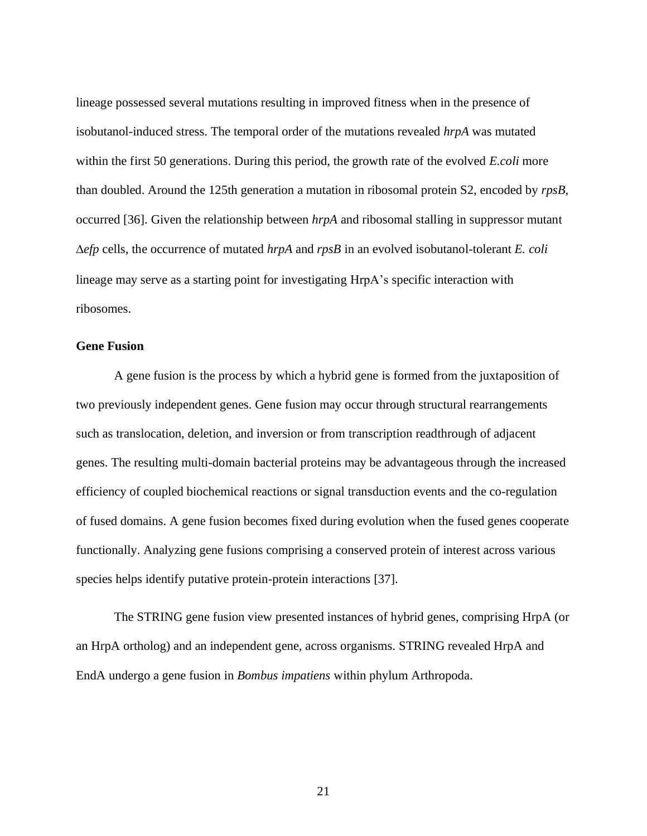lineage possessed several mutations resulting in improved fitness when in the presence of isobutanol-induced stress. The temporal order of the mutations revealed *hrpA* was mutated within the first 50 generations. During this period, the growth rate of the evolved *E.coli* more than doubled. Around the 125th generation a mutation in ribosomal protein S2, encoded by *rpsB*, occurred [36]. Given the relationship between *hrpA* and ribosomal stalling in suppressor mutant *efp* cells, the occurrence of mutated *hrpA* and *rpsB* in an evolved isobutanol-tolerant *E. coli* lineage may serve as a starting point for investigating HrpA's specific interaction with ribosomes.

#### <span id="page-29-0"></span>**Gene Fusion**

A gene fusion is the process by which a hybrid gene is formed from the juxtaposition of two previously independent genes. Gene fusion may occur through structural rearrangements such as translocation, deletion, and inversion or from transcription readthrough of adjacent genes. The resulting multi-domain bacterial proteins may be advantageous through the increased efficiency of coupled biochemical reactions or signal transduction events and the co-regulation of fused domains. A gene fusion becomes fixed during evolution when the fused genes cooperate functionally. Analyzing gene fusions comprising a conserved protein of interest across various species helps identify putative protein-protein interactions [37].

The STRING gene fusion view presented instances of hybrid genes, comprising HrpA (or an HrpA ortholog) and an independent gene, across organisms. STRING revealed HrpA and EndA undergo a gene fusion in *Bombus impatiens* within phylum Arthropoda.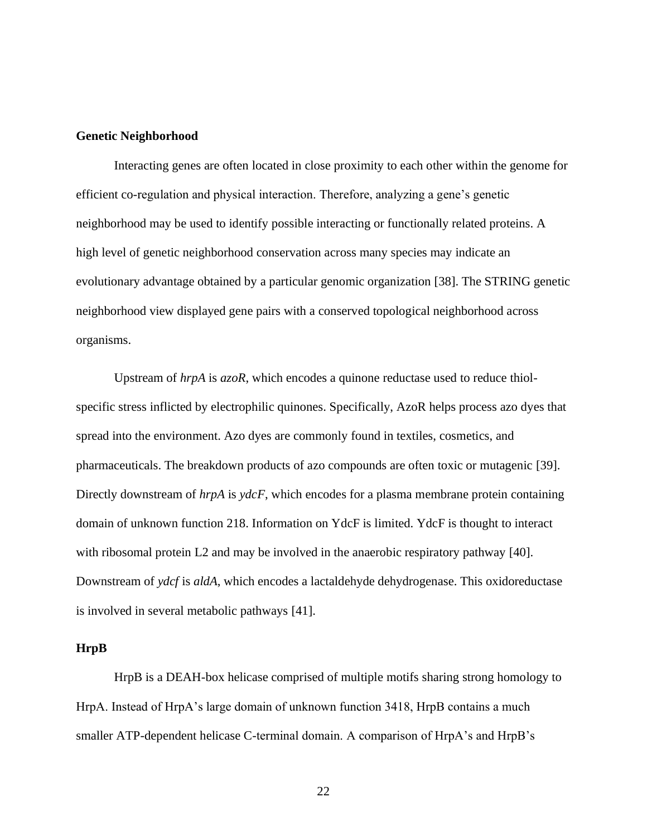#### <span id="page-30-0"></span>**Genetic Neighborhood**

Interacting genes are often located in close proximity to each other within the genome for efficient co-regulation and physical interaction. Therefore, analyzing a gene's genetic neighborhood may be used to identify possible interacting or functionally related proteins. A high level of genetic neighborhood conservation across many species may indicate an evolutionary advantage obtained by a particular genomic organization [38]. The STRING genetic neighborhood view displayed gene pairs with a conserved topological neighborhood across organisms.

Upstream of *hrpA* is *azoR*, which encodes a quinone reductase used to reduce thiolspecific stress inflicted by electrophilic quinones. Specifically, AzoR helps process azo dyes that spread into the environment. Azo dyes are commonly found in textiles, cosmetics, and pharmaceuticals. The breakdown products of azo compounds are often toxic or mutagenic [39]. Directly downstream of *hrpA* is *ydcF*, which encodes for a plasma membrane protein containing domain of unknown function 218. Information on YdcF is limited. YdcF is thought to interact with ribosomal protein L2 and may be involved in the anaerobic respiratory pathway [40]. Downstream of *ydcf* is *aldA*, which encodes a lactaldehyde dehydrogenase. This oxidoreductase is involved in several metabolic pathways [41].

#### <span id="page-30-1"></span>**HrpB**

HrpB is a DEAH-box helicase comprised of multiple motifs sharing strong homology to HrpA. Instead of HrpA's large domain of unknown function 3418, HrpB contains a much smaller ATP-dependent helicase C-terminal domain. A comparison of HrpA's and HrpB's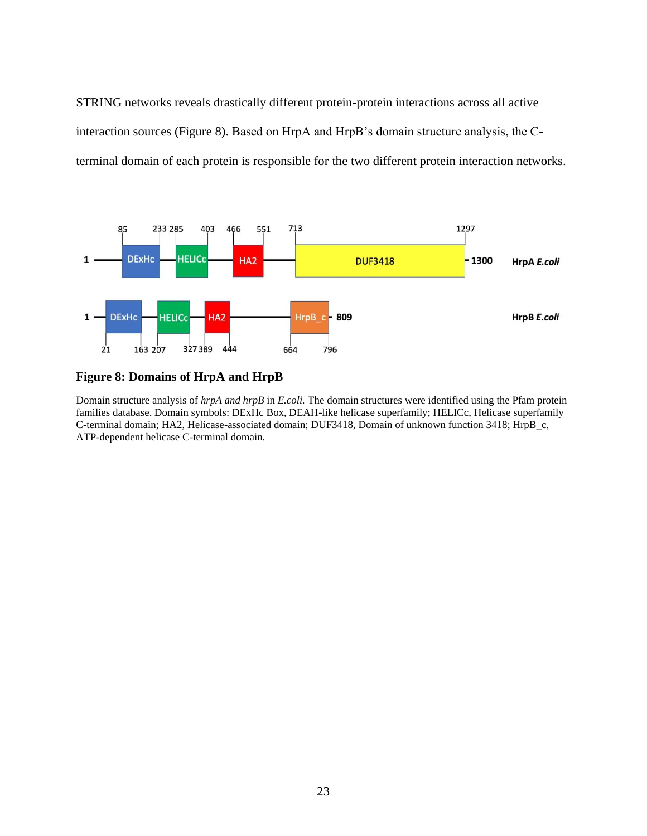STRING networks reveals drastically different protein-protein interactions across all active interaction sources (Figure 8). Based on HrpA and HrpB's domain structure analysis, the Cterminal domain of each protein is responsible for the two different protein interaction networks.



#### <span id="page-31-1"></span>**Figure 8: Domains of HrpA and HrpB**

<span id="page-31-0"></span>Domain structure analysis of *hrpA and hrpB* in *E.coli.* The domain structures were identified using the Pfam protein families database. Domain symbols: DExHc Box, DEAH-like helicase superfamily; HELICc, Helicase superfamily C-terminal domain; HA2, Helicase-associated domain; DUF3418, Domain of unknown function 3418; HrpB\_c, ATP-dependent helicase C-terminal domain.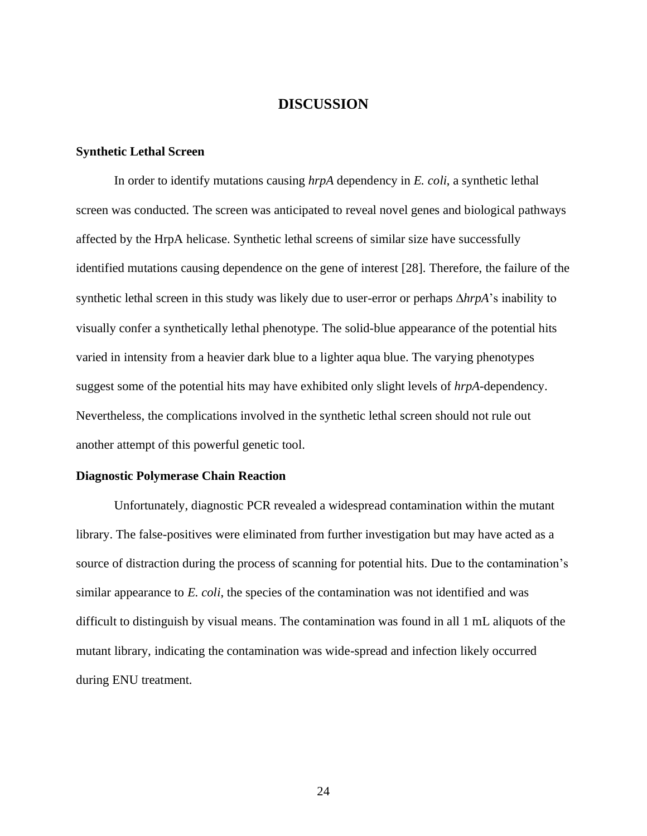#### **DISCUSSION**

#### <span id="page-32-0"></span>**Synthetic Lethal Screen**

In order to identify mutations causing *hrpA* dependency in *E. coli*, a synthetic lethal screen was conducted. The screen was anticipated to reveal novel genes and biological pathways affected by the HrpA helicase. Synthetic lethal screens of similar size have successfully identified mutations causing dependence on the gene of interest [28]. Therefore, the failure of the synthetic lethal screen in this study was likely due to user-error or perhaps *hrpA*'s inability to visually confer a synthetically lethal phenotype. The solid-blue appearance of the potential hits varied in intensity from a heavier dark blue to a lighter aqua blue. The varying phenotypes suggest some of the potential hits may have exhibited only slight levels of *hrpA*-dependency. Nevertheless, the complications involved in the synthetic lethal screen should not rule out another attempt of this powerful genetic tool.

#### <span id="page-32-1"></span>**Diagnostic Polymerase Chain Reaction**

Unfortunately, diagnostic PCR revealed a widespread contamination within the mutant library. The false-positives were eliminated from further investigation but may have acted as a source of distraction during the process of scanning for potential hits. Due to the contamination's similar appearance to *E. coli*, the species of the contamination was not identified and was difficult to distinguish by visual means. The contamination was found in all 1 mL aliquots of the mutant library, indicating the contamination was wide-spread and infection likely occurred during ENU treatment.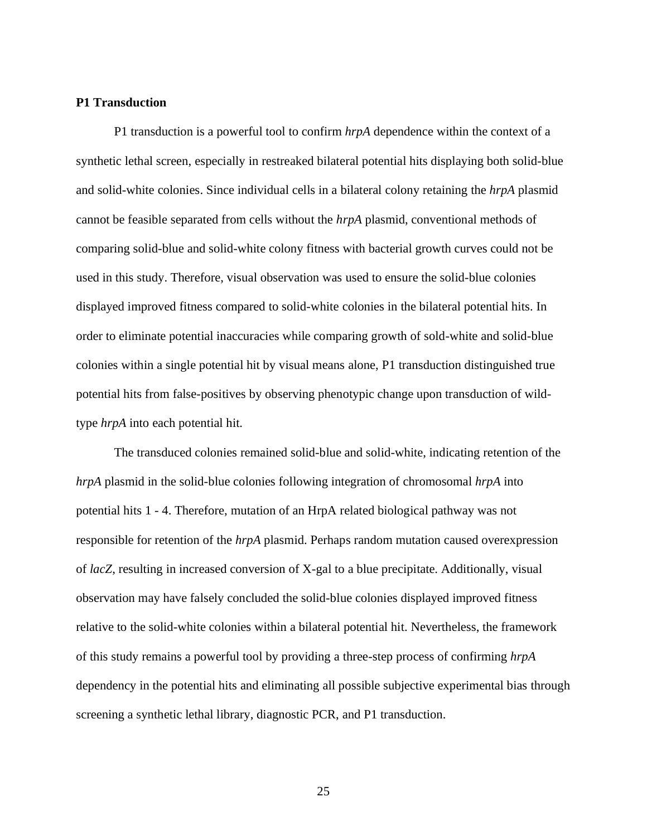#### <span id="page-33-0"></span>**P1 Transduction**

P1 transduction is a powerful tool to confirm *hrpA* dependence within the context of a synthetic lethal screen, especially in restreaked bilateral potential hits displaying both solid-blue and solid-white colonies. Since individual cells in a bilateral colony retaining the *hrpA* plasmid cannot be feasible separated from cells without the *hrpA* plasmid, conventional methods of comparing solid-blue and solid-white colony fitness with bacterial growth curves could not be used in this study. Therefore, visual observation was used to ensure the solid-blue colonies displayed improved fitness compared to solid-white colonies in the bilateral potential hits. In order to eliminate potential inaccuracies while comparing growth of sold-white and solid-blue colonies within a single potential hit by visual means alone, P1 transduction distinguished true potential hits from false-positives by observing phenotypic change upon transduction of wildtype *hrpA* into each potential hit.

The transduced colonies remained solid-blue and solid-white, indicating retention of the *hrpA* plasmid in the solid-blue colonies following integration of chromosomal *hrpA* into potential hits 1 - 4. Therefore, mutation of an HrpA related biological pathway was not responsible for retention of the *hrpA* plasmid. Perhaps random mutation caused overexpression of *lacZ*, resulting in increased conversion of X-gal to a blue precipitate. Additionally, visual observation may have falsely concluded the solid-blue colonies displayed improved fitness relative to the solid-white colonies within a bilateral potential hit. Nevertheless, the framework of this study remains a powerful tool by providing a three-step process of confirming *hrpA* dependency in the potential hits and eliminating all possible subjective experimental bias through screening a synthetic lethal library, diagnostic PCR, and P1 transduction.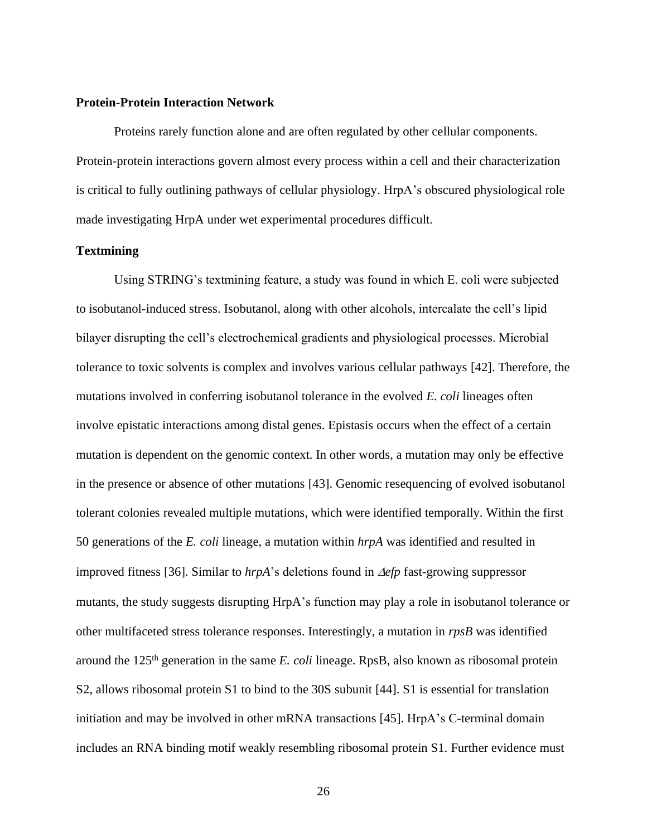#### <span id="page-34-0"></span>**Protein-Protein Interaction Network**

Proteins rarely function alone and are often regulated by other cellular components. Protein-protein interactions govern almost every process within a cell and their characterization is critical to fully outlining pathways of cellular physiology. HrpA's obscured physiological role made investigating HrpA under wet experimental procedures difficult.

#### <span id="page-34-1"></span>**Textmining**

Using STRING's textmining feature, a study was found in which E. coli were subjected to isobutanol-induced stress. Isobutanol, along with other alcohols, intercalate the cell's lipid bilayer disrupting the cell's electrochemical gradients and physiological processes. Microbial tolerance to toxic solvents is complex and involves various cellular pathways [42]. Therefore, the mutations involved in conferring isobutanol tolerance in the evolved *E. coli* lineages often involve epistatic interactions among distal genes. Epistasis occurs when the effect of a certain mutation is dependent on the genomic context. In other words, a mutation may only be effective in the presence or absence of other mutations [43]. Genomic resequencing of evolved isobutanol tolerant colonies revealed multiple mutations, which were identified temporally. Within the first 50 generations of the *E. coli* lineage, a mutation within *hrpA* was identified and resulted in improved fitness [36]. Similar to  $hrpA$ 's deletions found in  $\Delta efp$  fast-growing suppressor mutants, the study suggests disrupting HrpA's function may play a role in isobutanol tolerance or other multifaceted stress tolerance responses. Interestingly, a mutation in *rpsB* was identified around the 125th generation in the same *E. coli* lineage. RpsB, also known as ribosomal protein S2, allows ribosomal protein S1 to bind to the 30S subunit [44]. S1 is essential for translation initiation and may be involved in other mRNA transactions [45]. HrpA's C-terminal domain includes an RNA binding motif weakly resembling ribosomal protein S1. Further evidence must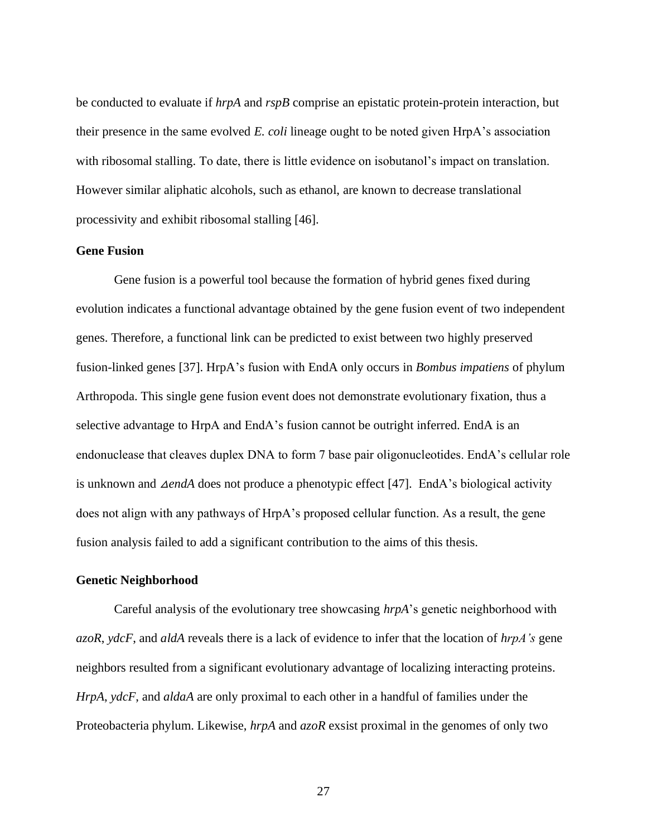be conducted to evaluate if *hrpA* and *rspB* comprise an epistatic protein-protein interaction, but their presence in the same evolved *E. coli* lineage ought to be noted given HrpA's association with ribosomal stalling. To date, there is little evidence on isobutanol's impact on translation. However similar aliphatic alcohols, such as ethanol, are known to decrease translational processivity and exhibit ribosomal stalling [46].

#### <span id="page-35-0"></span>**Gene Fusion**

Gene fusion is a powerful tool because the formation of hybrid genes fixed during evolution indicates a functional advantage obtained by the gene fusion event of two independent genes. Therefore, a functional link can be predicted to exist between two highly preserved fusion-linked genes [37]. HrpA's fusion with EndA only occurs in *Bombus impatiens* of phylum Arthropoda. This single gene fusion event does not demonstrate evolutionary fixation, thus a selective advantage to HrpA and EndA's fusion cannot be outright inferred. EndA is an endonuclease that cleaves duplex DNA to form 7 base pair oligonucleotides. EndA's cellular role is unknown and △*endA* does not produce a phenotypic effect [47]. EndA's biological activity does not align with any pathways of HrpA's proposed cellular function. As a result, the gene fusion analysis failed to add a significant contribution to the aims of this thesis.

#### <span id="page-35-1"></span>**Genetic Neighborhood**

Careful analysis of the evolutionary tree showcasing *hrpA*'s genetic neighborhood with *azoR*, *ydcF*, and *aldA* reveals there is a lack of evidence to infer that the location of *hrpA's* gene neighbors resulted from a significant evolutionary advantage of localizing interacting proteins. *HrpA*, *ydcF*, and *aldaA* are only proximal to each other in a handful of families under the Proteobacteria phylum. Likewise, *hrpA* and *azoR* exsist proximal in the genomes of only two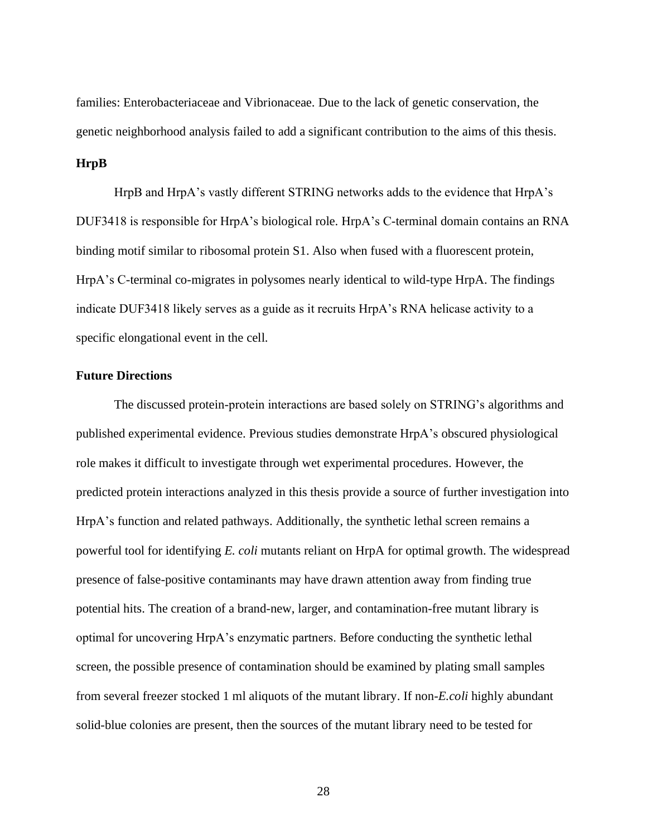families: Enterobacteriaceae and Vibrionaceae. Due to the lack of genetic conservation, the genetic neighborhood analysis failed to add a significant contribution to the aims of this thesis.

#### <span id="page-36-0"></span>**HrpB**

HrpB and HrpA's vastly different STRING networks adds to the evidence that HrpA's DUF3418 is responsible for HrpA's biological role. HrpA's C-terminal domain contains an RNA binding motif similar to ribosomal protein S1. Also when fused with a fluorescent protein, HrpA's C-terminal co-migrates in polysomes nearly identical to wild-type HrpA. The findings indicate DUF3418 likely serves as a guide as it recruits HrpA's RNA helicase activity to a specific elongational event in the cell.

#### <span id="page-36-1"></span>**Future Directions**

The discussed protein-protein interactions are based solely on STRING's algorithms and published experimental evidence. Previous studies demonstrate HrpA's obscured physiological role makes it difficult to investigate through wet experimental procedures. However, the predicted protein interactions analyzed in this thesis provide a source of further investigation into HrpA's function and related pathways. Additionally, the synthetic lethal screen remains a powerful tool for identifying *E. coli* mutants reliant on HrpA for optimal growth. The widespread presence of false-positive contaminants may have drawn attention away from finding true potential hits. The creation of a brand-new, larger, and contamination-free mutant library is optimal for uncovering HrpA's enzymatic partners. Before conducting the synthetic lethal screen, the possible presence of contamination should be examined by plating small samples from several freezer stocked 1 ml aliquots of the mutant library. If non-*E.coli* highly abundant solid-blue colonies are present, then the sources of the mutant library need to be tested for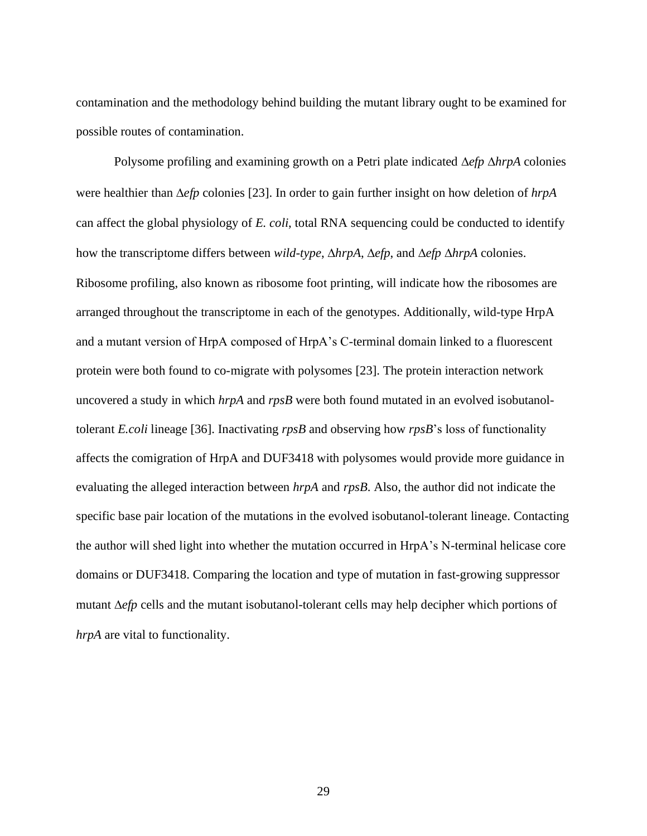contamination and the methodology behind building the mutant library ought to be examined for possible routes of contamination.

Polysome profiling and examining growth on a Petri plate indicated  $\Delta e f p \Delta h r p A$  colonies were healthier than  $\Delta e f p$  colonies [23]. In order to gain further insight on how deletion of  $h r p A$ can affect the global physiology of *E. coli*, total RNA sequencing could be conducted to identify how the transcriptome differs between *wild-type*,  $\triangle hrpA$ ,  $\triangle efp$ , and  $\triangle efp \triangle hrpA$  colonies. Ribosome profiling, also known as ribosome foot printing, will indicate how the ribosomes are arranged throughout the transcriptome in each of the genotypes. Additionally, wild-type HrpA and a mutant version of HrpA composed of HrpA's C-terminal domain linked to a fluorescent protein were both found to co-migrate with polysomes [23]. The protein interaction network uncovered a study in which *hrpA* and *rpsB* were both found mutated in an evolved isobutanoltolerant *E.coli* lineage [36]. Inactivating *rpsB* and observing how *rpsB*'s loss of functionality affects the comigration of HrpA and DUF3418 with polysomes would provide more guidance in evaluating the alleged interaction between *hrpA* and *rpsB*. Also, the author did not indicate the specific base pair location of the mutations in the evolved isobutanol-tolerant lineage. Contacting the author will shed light into whether the mutation occurred in HrpA's N-terminal helicase core domains or DUF3418. Comparing the location and type of mutation in fast-growing suppressor mutant  $\Delta e f p$  cells and the mutant isobutanol-tolerant cells may help decipher which portions of *hrpA* are vital to functionality.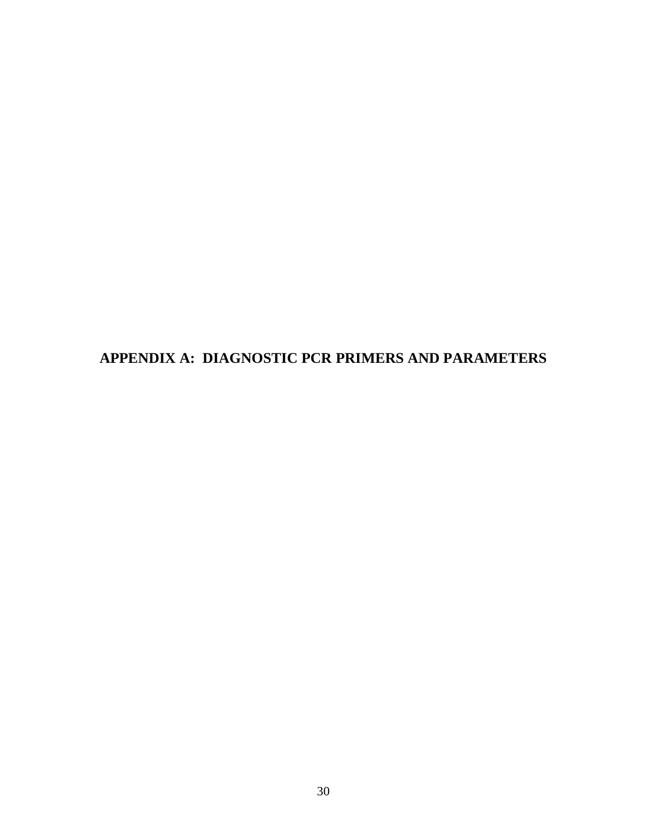<span id="page-38-0"></span>**APPENDIX A: DIAGNOSTIC PCR PRIMERS AND PARAMETERS**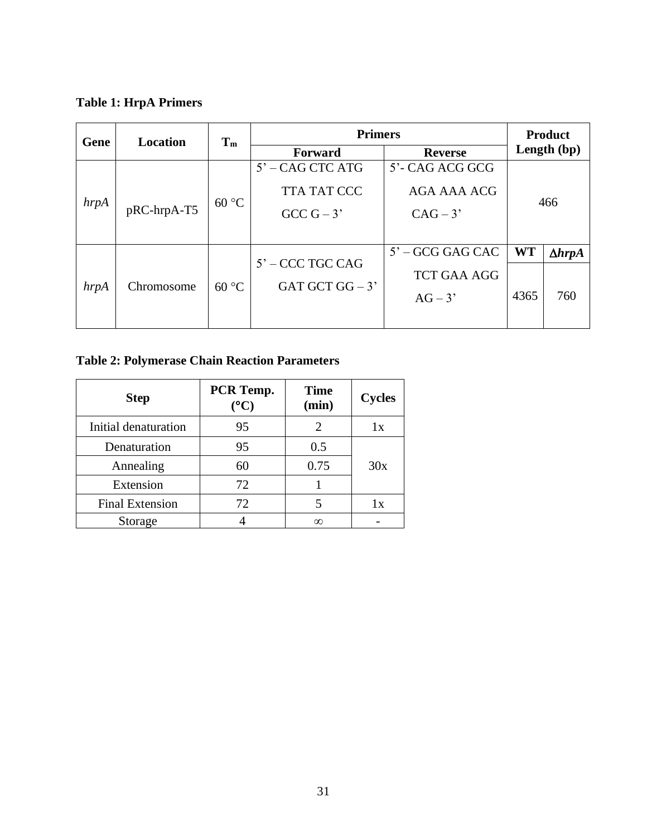<span id="page-39-0"></span>**Table 1: HrpA Primers**

| Gene | <b>Location</b> | $T_m$ | <b>Primers</b>     |                    | <b>Product</b> |                  |
|------|-----------------|-------|--------------------|--------------------|----------------|------------------|
|      |                 |       | Forward            | <b>Reverse</b>     | Length (bp)    |                  |
|      |                 |       | $5'$ – CAG CTC ATG | 5'- CAG ACG GCG    |                |                  |
| hrpA | pRC-hrpA-T5     | 60 °C | <b>TTA TAT CCC</b> | AGA AAA ACG        | 466            |                  |
|      |                 |       | $GCC G - 3'$       | $CAG-3'$           |                |                  |
|      |                 |       |                    |                    |                |                  |
|      |                 |       | $5'$ – CCC TGC CAG | $5'$ – GCG GAG CAC | <b>WT</b>      | $\Delta h r p A$ |
|      |                 |       | <b>TCT GAA AGG</b> |                    |                |                  |
| hrpA | Chromosome      | 60 °C | GAT GCT GG $-3$ '  | $AG-3'$            | 4365           | 760              |
|      |                 |       |                    |                    |                |                  |

# <span id="page-39-1"></span>**Table 2: Polymerase Chain Reaction Parameters**

| <b>Step</b>            | PCR Temp.<br>$({}^{\sf o}{\bf C})$ | <b>Time</b><br>(min) | <b>Cycles</b> |
|------------------------|------------------------------------|----------------------|---------------|
| Initial denaturation   | 95                                 |                      | lх            |
| Denaturation           | 95                                 | 0.5                  |               |
| Annealing              | 60                                 | 0.75                 | 30x           |
| Extension              | 72                                 |                      |               |
| <b>Final Extension</b> | 72                                 |                      | lх            |
| Storage                |                                    | $\infty$             |               |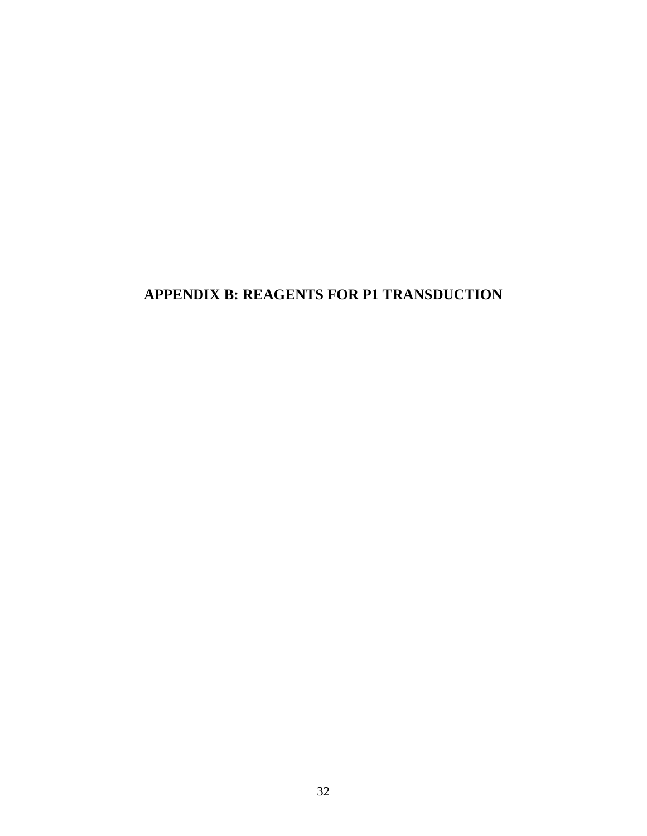# <span id="page-40-0"></span>**APPENDIX B: REAGENTS FOR P1 TRANSDUCTION**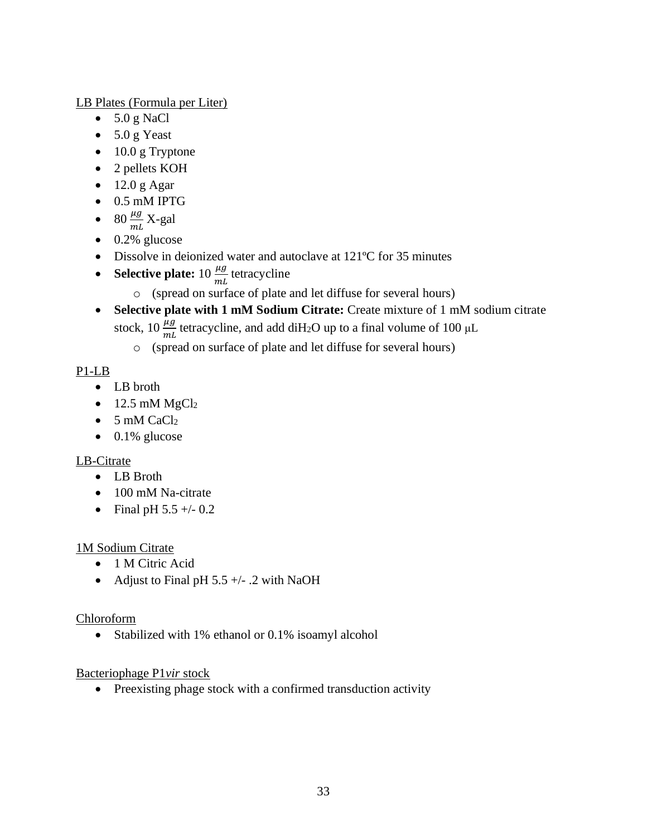LB Plates (Formula per Liter)

- $\bullet$  5.0 g NaCl
- 5.0 g Yeast
- 10.0 g Tryptone
- 2 pellets KOH
- $\bullet$  12.0 g Agar
- 0.5 mM IPTG
- 80  $\frac{\mu g}{mL}$  X-gal
- $\bullet$  0.2% glucose
- Dissolve in deionized water and autoclave at 121°C for 35 minutes
- **Selective plate:**  $10 \frac{\mu g}{mL}$  tetracycline
	- o (spread on surface of plate and let diffuse for several hours)
- **Selective plate with 1 mM Sodium Citrate:** Create mixture of 1 mM sodium citrate stock,  $10 \frac{\mu g}{m}$  tetracycline, and add diH<sub>2</sub>O up to a final volume of 100  $\mu$ L
	- o (spread on surface of plate and let diffuse for several hours)

# P1-LB

- LB broth
- $\bullet$  12.5 mM MgCl<sub>2</sub>
- $\bullet$  5 mM CaCl<sub>2</sub>
- $\bullet$  0.1% glucose

## LB-Citrate

- LB Broth
- 100 mM Na-citrate
- Final pH  $5.5 +/- 0.2$

## 1M Sodium Citrate

- 1 M Citric Acid
- Adjust to Final pH  $5.5 +/- 0.2$  with NaOH

## Chloroform

• Stabilized with 1% ethanol or 0.1% isoamyl alcohol

## Bacteriophage P1*vir* stock

• Preexisting phage stock with a confirmed transduction activity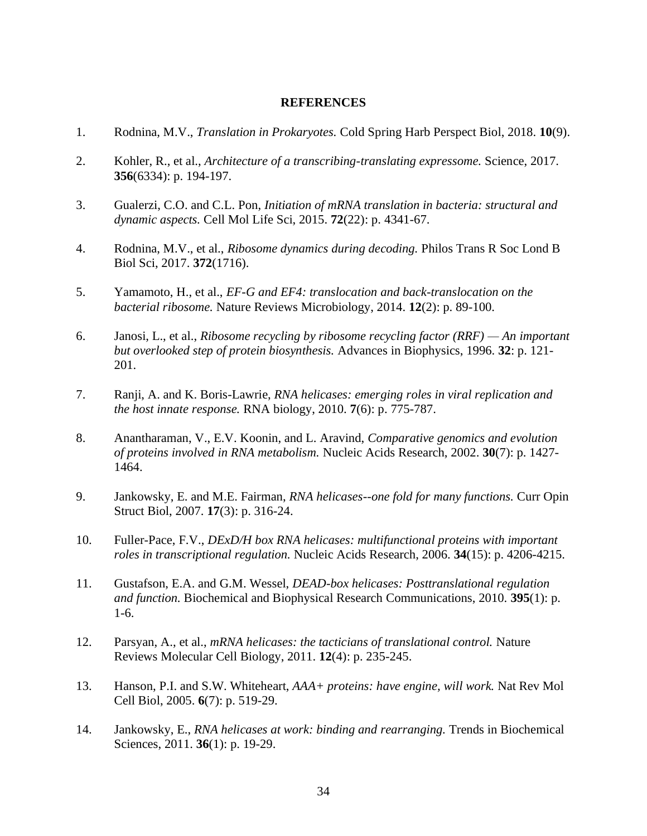#### **REFERENCES**

- <span id="page-42-0"></span>1. Rodnina, M.V., *Translation in Prokaryotes.* Cold Spring Harb Perspect Biol, 2018. **10**(9).
- 2. Kohler, R., et al., *Architecture of a transcribing-translating expressome.* Science, 2017. **356**(6334): p. 194-197.
- 3. Gualerzi, C.O. and C.L. Pon, *Initiation of mRNA translation in bacteria: structural and dynamic aspects.* Cell Mol Life Sci, 2015. **72**(22): p. 4341-67.
- 4. Rodnina, M.V., et al., *Ribosome dynamics during decoding.* Philos Trans R Soc Lond B Biol Sci, 2017. **372**(1716).
- 5. Yamamoto, H., et al., *EF-G and EF4: translocation and back-translocation on the bacterial ribosome.* Nature Reviews Microbiology, 2014. **12**(2): p. 89-100.
- 6. Janosi, L., et al., *Ribosome recycling by ribosome recycling factor (RRF) — An important but overlooked step of protein biosynthesis.* Advances in Biophysics, 1996. **32**: p. 121- 201.
- 7. Ranji, A. and K. Boris-Lawrie, *RNA helicases: emerging roles in viral replication and the host innate response.* RNA biology, 2010. **7**(6): p. 775-787.
- 8. Anantharaman, V., E.V. Koonin, and L. Aravind, *Comparative genomics and evolution of proteins involved in RNA metabolism.* Nucleic Acids Research, 2002. **30**(7): p. 1427- 1464.
- 9. Jankowsky, E. and M.E. Fairman, *RNA helicases--one fold for many functions.* Curr Opin Struct Biol, 2007. **17**(3): p. 316-24.
- 10. Fuller-Pace, F.V., *DExD/H box RNA helicases: multifunctional proteins with important roles in transcriptional regulation.* Nucleic Acids Research, 2006. **34**(15): p. 4206-4215.
- 11. Gustafson, E.A. and G.M. Wessel, *DEAD-box helicases: Posttranslational regulation and function.* Biochemical and Biophysical Research Communications, 2010. **395**(1): p. 1-6.
- 12. Parsyan, A., et al., *mRNA helicases: the tacticians of translational control.* Nature Reviews Molecular Cell Biology, 2011. **12**(4): p. 235-245.
- 13. Hanson, P.I. and S.W. Whiteheart, *AAA+ proteins: have engine, will work.* Nat Rev Mol Cell Biol, 2005. **6**(7): p. 519-29.
- 14. Jankowsky, E., *RNA helicases at work: binding and rearranging.* Trends in Biochemical Sciences, 2011. **36**(1): p. 19-29.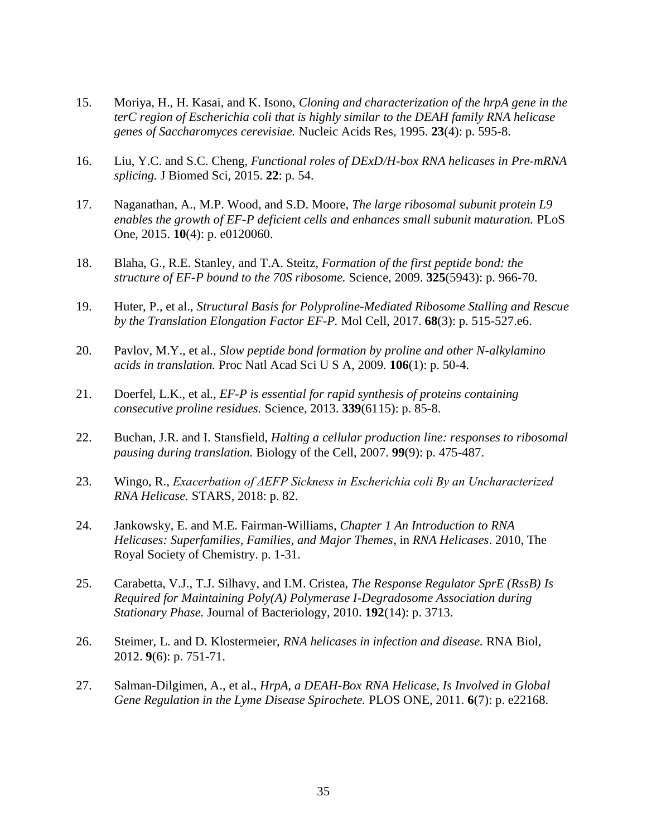- 15. Moriya, H., H. Kasai, and K. Isono, *Cloning and characterization of the hrpA gene in the terC region of Escherichia coli that is highly similar to the DEAH family RNA helicase genes of Saccharomyces cerevisiae.* Nucleic Acids Res, 1995. **23**(4): p. 595-8.
- 16. Liu, Y.C. and S.C. Cheng, *Functional roles of DExD/H-box RNA helicases in Pre-mRNA splicing.* J Biomed Sci, 2015. **22**: p. 54.
- 17. Naganathan, A., M.P. Wood, and S.D. Moore, *The large ribosomal subunit protein L9 enables the growth of EF-P deficient cells and enhances small subunit maturation.* PLoS One, 2015. **10**(4): p. e0120060.
- 18. Blaha, G., R.E. Stanley, and T.A. Steitz, *Formation of the first peptide bond: the structure of EF-P bound to the 70S ribosome.* Science, 2009. **325**(5943): p. 966-70.
- 19. Huter, P., et al., *Structural Basis for Polyproline-Mediated Ribosome Stalling and Rescue by the Translation Elongation Factor EF-P.* Mol Cell, 2017. **68**(3): p. 515-527.e6.
- 20. Pavlov, M.Y., et al., *Slow peptide bond formation by proline and other N-alkylamino acids in translation.* Proc Natl Acad Sci U S A, 2009. **106**(1): p. 50-4.
- 21. Doerfel, L.K., et al., *EF-P is essential for rapid synthesis of proteins containing consecutive proline residues.* Science, 2013. **339**(6115): p. 85-8.
- 22. Buchan, J.R. and I. Stansfield, *Halting a cellular production line: responses to ribosomal pausing during translation.* Biology of the Cell, 2007. **99**(9): p. 475-487.
- 23. Wingo, R., *Exacerbation of ΔEFP Sickness in Escherichia coli By an Uncharacterized RNA Helicase.* STARS, 2018: p. 82.
- 24. Jankowsky, E. and M.E. Fairman-Williams, *Chapter 1 An Introduction to RNA Helicases: Superfamilies, Families, and Major Themes*, in *RNA Helicases*. 2010, The Royal Society of Chemistry. p. 1-31.
- 25. Carabetta, V.J., T.J. Silhavy, and I.M. Cristea, *The Response Regulator SprE (RssB) Is Required for Maintaining Poly(A) Polymerase I-Degradosome Association during Stationary Phase.* Journal of Bacteriology, 2010. **192**(14): p. 3713.
- 26. Steimer, L. and D. Klostermeier, *RNA helicases in infection and disease.* RNA Biol, 2012. **9**(6): p. 751-71.
- 27. Salman-Dilgimen, A., et al., *HrpA, a DEAH-Box RNA Helicase, Is Involved in Global Gene Regulation in the Lyme Disease Spirochete.* PLOS ONE, 2011. **6**(7): p. e22168.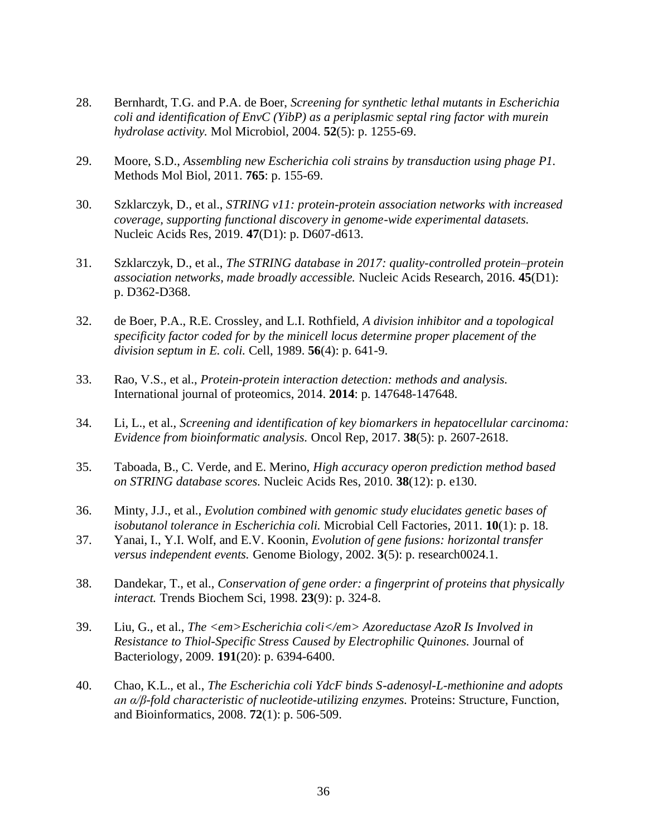- 28. Bernhardt, T.G. and P.A. de Boer, *Screening for synthetic lethal mutants in Escherichia coli and identification of EnvC (YibP) as a periplasmic septal ring factor with murein hydrolase activity.* Mol Microbiol, 2004. **52**(5): p. 1255-69.
- 29. Moore, S.D., *Assembling new Escherichia coli strains by transduction using phage P1.* Methods Mol Biol, 2011. **765**: p. 155-69.
- 30. Szklarczyk, D., et al., *STRING v11: protein-protein association networks with increased coverage, supporting functional discovery in genome-wide experimental datasets.* Nucleic Acids Res, 2019. **47**(D1): p. D607-d613.
- 31. Szklarczyk, D., et al., *The STRING database in 2017: quality-controlled protein–protein association networks, made broadly accessible.* Nucleic Acids Research, 2016. **45**(D1): p. D362-D368.
- 32. de Boer, P.A., R.E. Crossley, and L.I. Rothfield, *A division inhibitor and a topological specificity factor coded for by the minicell locus determine proper placement of the division septum in E. coli.* Cell, 1989. **56**(4): p. 641-9.
- 33. Rao, V.S., et al., *Protein-protein interaction detection: methods and analysis.* International journal of proteomics, 2014. **2014**: p. 147648-147648.
- 34. Li, L., et al., *Screening and identification of key biomarkers in hepatocellular carcinoma: Evidence from bioinformatic analysis.* Oncol Rep, 2017. **38**(5): p. 2607-2618.
- 35. Taboada, B., C. Verde, and E. Merino, *High accuracy operon prediction method based on STRING database scores.* Nucleic Acids Res, 2010. **38**(12): p. e130.
- 36. Minty, J.J., et al., *Evolution combined with genomic study elucidates genetic bases of isobutanol tolerance in Escherichia coli.* Microbial Cell Factories, 2011. **10**(1): p. 18.
- 37. Yanai, I., Y.I. Wolf, and E.V. Koonin, *Evolution of gene fusions: horizontal transfer versus independent events.* Genome Biology, 2002. **3**(5): p. research0024.1.
- 38. Dandekar, T., et al., *Conservation of gene order: a fingerprint of proteins that physically interact.* Trends Biochem Sci, 1998. **23**(9): p. 324-8.
- 39. Liu, G., et al., *The <em>Escherichia coli</em> Azoreductase AzoR Is Involved in Resistance to Thiol-Specific Stress Caused by Electrophilic Quinones.* Journal of Bacteriology, 2009. **191**(20): p. 6394-6400.
- 40. Chao, K.L., et al., *The Escherichia coli YdcF binds S-adenosyl-L-methionine and adopts an α/β-fold characteristic of nucleotide-utilizing enzymes.* Proteins: Structure, Function, and Bioinformatics, 2008. **72**(1): p. 506-509.